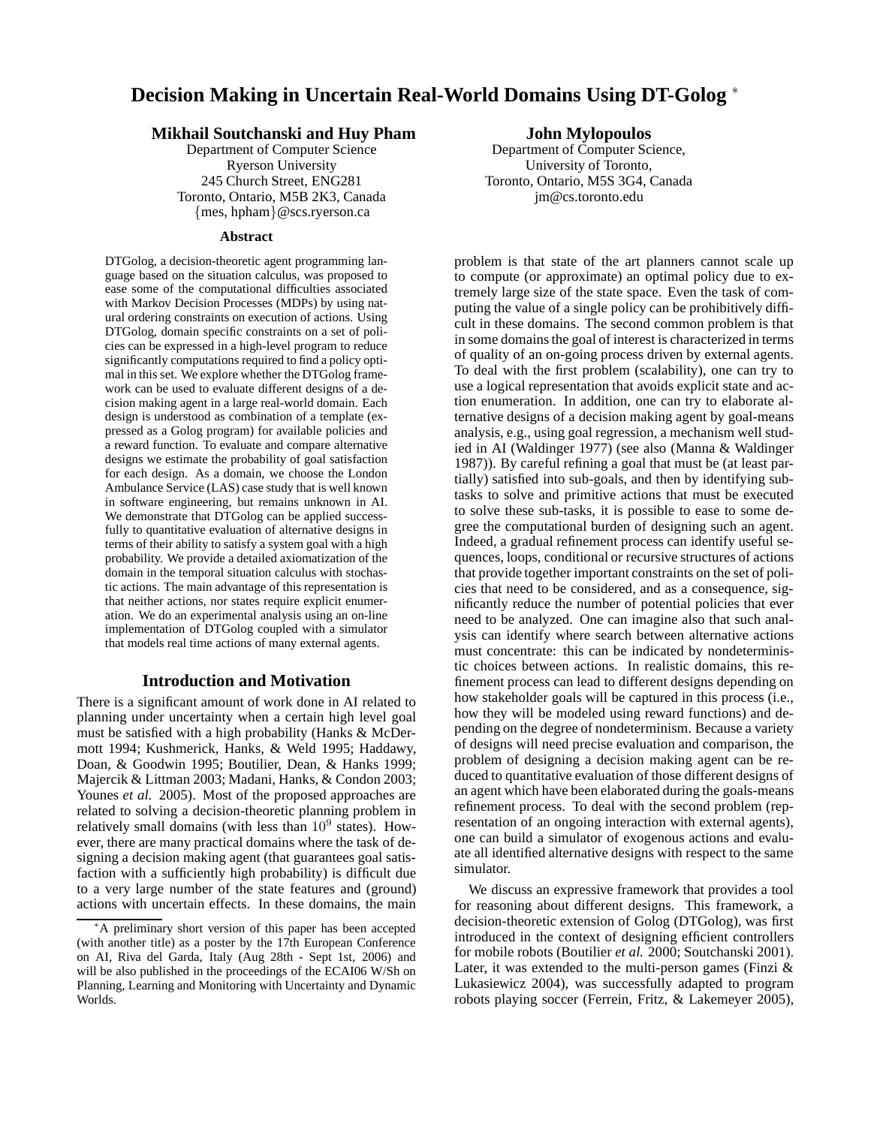# **Decision Making in Uncertain Real-World Domains Using DT-Golog** <sup>∗</sup>

# **Mikhail Soutchanski and Huy Pham**

Department of Computer Science Ryerson University 245 Church Street, ENG281 Toronto, Ontario, M5B 2K3, Canada {mes, hpham}@scs.ryerson.ca

### **Abstract**

DTGolog, a decision-theoretic agent programming language based on the situation calculus, was proposed to ease some of the computational difficulties associated with Markov Decision Processes (MDPs) by using natural ordering constraints on execution of actions. Using DTGolog, domain specific constraints on a set of policies can be expressed in a high-level program to reduce significantly computations required to find a policy optimal in this set. We explore whether the DTGolog framework can be used to evaluate different designs of a decision making agent in a large real-world domain. Each design is understood as combination of a template (expressed as a Golog program) for available policies and a reward function. To evaluate and compare alternative designs we estimate the probability of goal satisfaction for each design. As a domain, we choose the London Ambulance Service (LAS) case study that is well known in software engineering, but remains unknown in AI. We demonstrate that DTGolog can be applied successfully to quantitative evaluation of alternative designs in terms of their ability to satisfy a system goal with a high probability. We provide a detailed axiomatization of the domain in the temporal situation calculus with stochastic actions. The main advantage of this representation is that neither actions, nor states require explicit enumeration. We do an experimental analysis using an on-line implementation of DTGolog coupled with a simulator that models real time actions of many external agents.

# **Introduction and Motivation**

There is a significant amount of work done in AI related to planning under uncertainty when a certain high level goal must be satisfied with a high probability (Hanks & McDermott 1994; Kushmerick, Hanks, & Weld 1995; Haddawy, Doan, & Goodwin 1995; Boutilier, Dean, & Hanks 1999; Majercik & Littman 2003; Madani, Hanks, & Condon 2003; Younes *et al.* 2005). Most of the proposed approaches are related to solving a decision-theoretic planning problem in relatively small domains (with less than  $10^9$  states). However, there are many practical domains where the task of designing a decision making agent (that guarantees goal satisfaction with a sufficiently high probability) is difficult due to a very large number of the state features and (ground) actions with uncertain effects. In these domains, the main

# **John Mylopoulos**

Department of Computer Science, University of Toronto, Toronto, Ontario, M5S 3G4, Canada jm@cs.toronto.edu

problem is that state of the art planners cannot scale up to compute (or approximate) an optimal policy due to extremely large size of the state space. Even the task of computing the value of a single policy can be prohibitively difficult in these domains. The second common problem is that in some domains the goal of interest is characterized in terms of quality of an on-going process driven by external agents. To deal with the first problem (scalability), one can try to use a logical representation that avoids explicit state and action enumeration. In addition, one can try to elaborate alternative designs of a decision making agent by goal-means analysis, e.g., using goal regression, a mechanism well studied in AI (Waldinger 1977) (see also (Manna & Waldinger 1987)). By careful refining a goal that must be (at least partially) satisfied into sub-goals, and then by identifying subtasks to solve and primitive actions that must be executed to solve these sub-tasks, it is possible to ease to some degree the computational burden of designing such an agent. Indeed, a gradual refinement process can identify useful sequences, loops, conditional or recursive structures of actions that provide together important constraints on the set of policies that need to be considered, and as a consequence, significantly reduce the number of potential policies that ever need to be analyzed. One can imagine also that such analysis can identify where search between alternative actions must concentrate: this can be indicated by nondeterministic choices between actions. In realistic domains, this refinement process can lead to different designs depending on how stakeholder goals will be captured in this process (i.e., how they will be modeled using reward functions) and depending on the degree of nondeterminism. Because a variety of designs will need precise evaluation and comparison, the problem of designing a decision making agent can be reduced to quantitative evaluation of those different designs of an agent which have been elaborated during the goals-means refinement process. To deal with the second problem (representation of an ongoing interaction with external agents), one can build a simulator of exogenous actions and evaluate all identified alternative designs with respect to the same simulator.

We discuss an expressive framework that provides a tool for reasoning about different designs. This framework, a decision-theoretic extension of Golog (DTGolog), was first introduced in the context of designing efficient controllers for mobile robots (Boutilier *et al.* 2000; Soutchanski 2001). Later, it was extended to the multi-person games (Finzi & Lukasiewicz 2004), was successfully adapted to program robots playing soccer (Ferrein, Fritz, & Lakemeyer 2005),

<sup>∗</sup>A preliminary short version of this paper has been accepted (with another title) as a poster by the 17th European Conference on AI, Riva del Garda, Italy (Aug 28th - Sept 1st, 2006) and will be also published in the proceedings of the ECAI06 W/Sh on Planning, Learning and Monitoring with Uncertainty and Dynamic Worlds.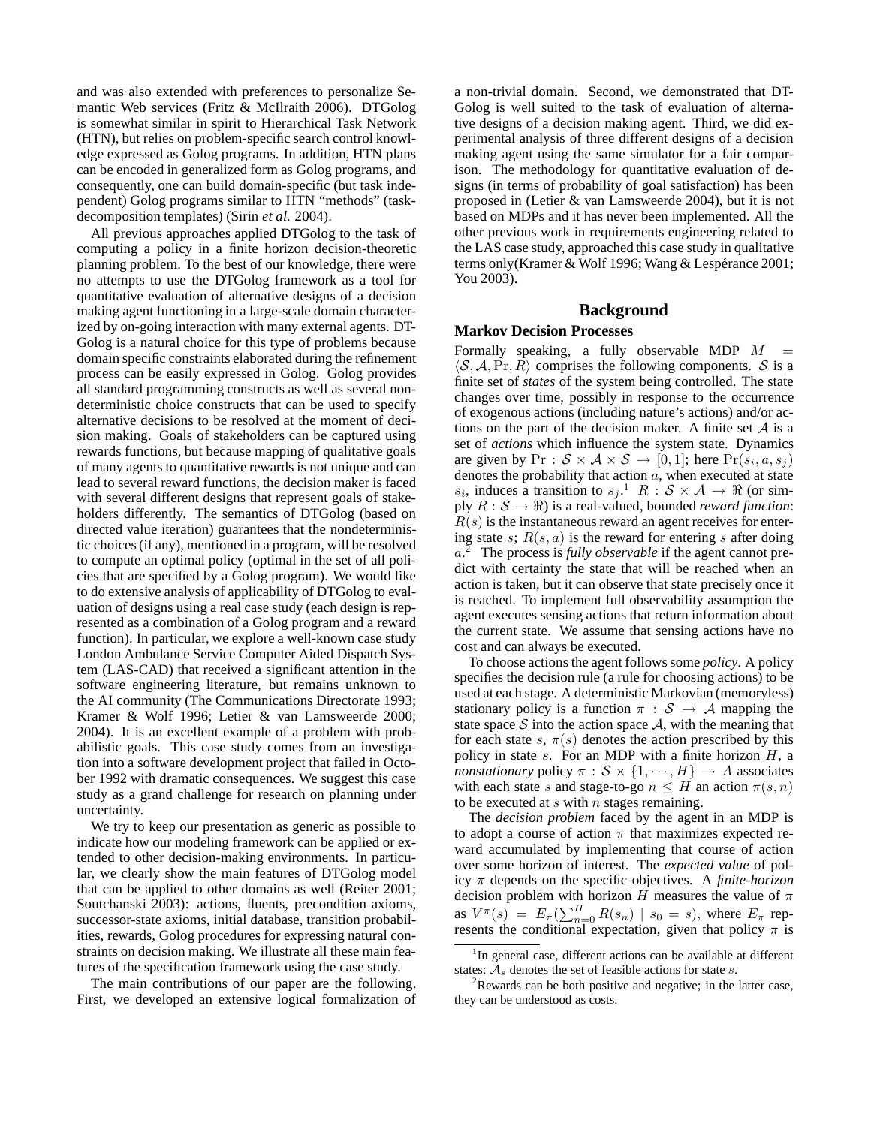and was also extended with preferences to personalize Semantic Web services (Fritz & McIlraith 2006). DTGolog is somewhat similar in spirit to Hierarchical Task Network (HTN), but relies on problem-specific search control knowledge expressed as Golog programs. In addition, HTN plans can be encoded in generalized form as Golog programs, and consequently, one can build domain-specific (but task independent) Golog programs similar to HTN "methods" (taskdecomposition templates) (Sirin *et al.* 2004).

All previous approaches applied DTGolog to the task of computing a policy in a finite horizon decision-theoretic planning problem. To the best of our knowledge, there were no attempts to use the DTGolog framework as a tool for quantitative evaluation of alternative designs of a decision making agent functioning in a large-scale domain characterized by on-going interaction with many external agents. DT-Golog is a natural choice for this type of problems because domain specific constraints elaborated during the refinement process can be easily expressed in Golog. Golog provides all standard programming constructs as well as several nondeterministic choice constructs that can be used to specify alternative decisions to be resolved at the moment of decision making. Goals of stakeholders can be captured using rewards functions, but because mapping of qualitative goals of many agents to quantitative rewards is not unique and can lead to several reward functions, the decision maker is faced with several different designs that represent goals of stakeholders differently. The semantics of DTGolog (based on directed value iteration) guarantees that the nondeterministic choices (if any), mentioned in a program, will be resolved to compute an optimal policy (optimal in the set of all policies that are specified by a Golog program). We would like to do extensive analysis of applicability of DTGolog to evaluation of designs using a real case study (each design is represented as a combination of a Golog program and a reward function). In particular, we explore a well-known case study London Ambulance Service Computer Aided Dispatch System (LAS-CAD) that received a significant attention in the software engineering literature, but remains unknown to the AI community (The Communications Directorate 1993; Kramer & Wolf 1996; Letier & van Lamsweerde 2000; 2004). It is an excellent example of a problem with probabilistic goals. This case study comes from an investigation into a software development project that failed in October 1992 with dramatic consequences. We suggest this case study as a grand challenge for research on planning under uncertainty.

We try to keep our presentation as generic as possible to indicate how our modeling framework can be applied or extended to other decision-making environments. In particular, we clearly show the main features of DTGolog model that can be applied to other domains as well (Reiter 2001; Soutchanski 2003): actions, fluents, precondition axioms, successor-state axioms, initial database, transition probabilities, rewards, Golog procedures for expressing natural constraints on decision making. We illustrate all these main features of the specification framework using the case study.

The main contributions of our paper are the following. First, we developed an extensive logical formalization of a non-trivial domain. Second, we demonstrated that DT-Golog is well suited to the task of evaluation of alternative designs of a decision making agent. Third, we did experimental analysis of three different designs of a decision making agent using the same simulator for a fair comparison. The methodology for quantitative evaluation of designs (in terms of probability of goal satisfaction) has been proposed in (Letier & van Lamsweerde 2004), but it is not based on MDPs and it has never been implemented. All the other previous work in requirements engineering related to the LAS case study, approached this case study in qualitative terms only (Kramer & Wolf 1996; Wang & Lespérance 2001; You 2003).

# **Background**

# **Markov Decision Processes**

Formally speaking, a fully observable MDP  $M =$  $\langle S, A, \text{Pr}, R \rangle$  comprises the following components. S is a finite set of *states* of the system being controlled. The state changes over time, possibly in response to the occurrence of exogenous actions (including nature's actions) and/or actions on the part of the decision maker. A finite set  $A$  is a set of *actions* which influence the system state. Dynamics are given by  $Pr: \mathcal{S} \times \mathcal{A} \times \mathcal{S} \rightarrow [0,1]$ ; here  $Pr(s_i, a, s_j)$ denotes the probability that action a, when executed at state  $s_i$ , induces a transition to  $s_j$ .<sup>1</sup>  $R : S \times A \rightarrow \Re$  (or simply  $R : \mathcal{S} \to \mathbb{R}$  is a real-valued, bounded *reward function*:  $R(s)$  is the instantaneous reward an agent receives for entering state s;  $R(s, a)$  is the reward for entering s after doing  $a^2$  The process is *fully observable* if the agent cannot predict with certainty the state that will be reached when an action is taken, but it can observe that state precisely once it is reached. To implement full observability assumption the agent executes sensing actions that return information about the current state. We assume that sensing actions have no cost and can always be executed.

To choose actions the agent follows some *policy*. A policy specifies the decision rule (a rule for choosing actions) to be used at each stage. A deterministic Markovian (memoryless) stationary policy is a function  $\pi : \mathcal{S} \to \mathcal{A}$  mapping the state space S into the action space  $A$ , with the meaning that for each state s,  $\pi(s)$  denotes the action prescribed by this policy in state  $s$ . For an MDP with a finite horizon  $H$ , a *nonstationary* policy  $\pi : \mathcal{S} \times \{1, \dots, H\} \rightarrow A$  associates with each state s and stage-to-go  $n \leq H$  an action  $\pi(s, n)$ to be executed at  $s$  with  $n$  stages remaining.

The *decision problem* faced by the agent in an MDP is to adopt a course of action  $\pi$  that maximizes expected reward accumulated by implementing that course of action over some horizon of interest. The *expected value* of policy π depends on the specific objectives. A *finite-horizon* decision problem with horizon H measures the value of  $\pi$ as  $V^{\pi}(s) = E_{\pi}(\sum_{n=0}^{H} R(s_n) | s_0 = s)$ , where  $E_{\pi}$  represents the conditional expectation, given that policy  $\pi$  is

<sup>&</sup>lt;sup>1</sup>In general case, different actions can be available at different states:  $A_s$  denotes the set of feasible actions for state s.

 $2R$ ewards can be both positive and negative; in the latter case, they can be understood as costs.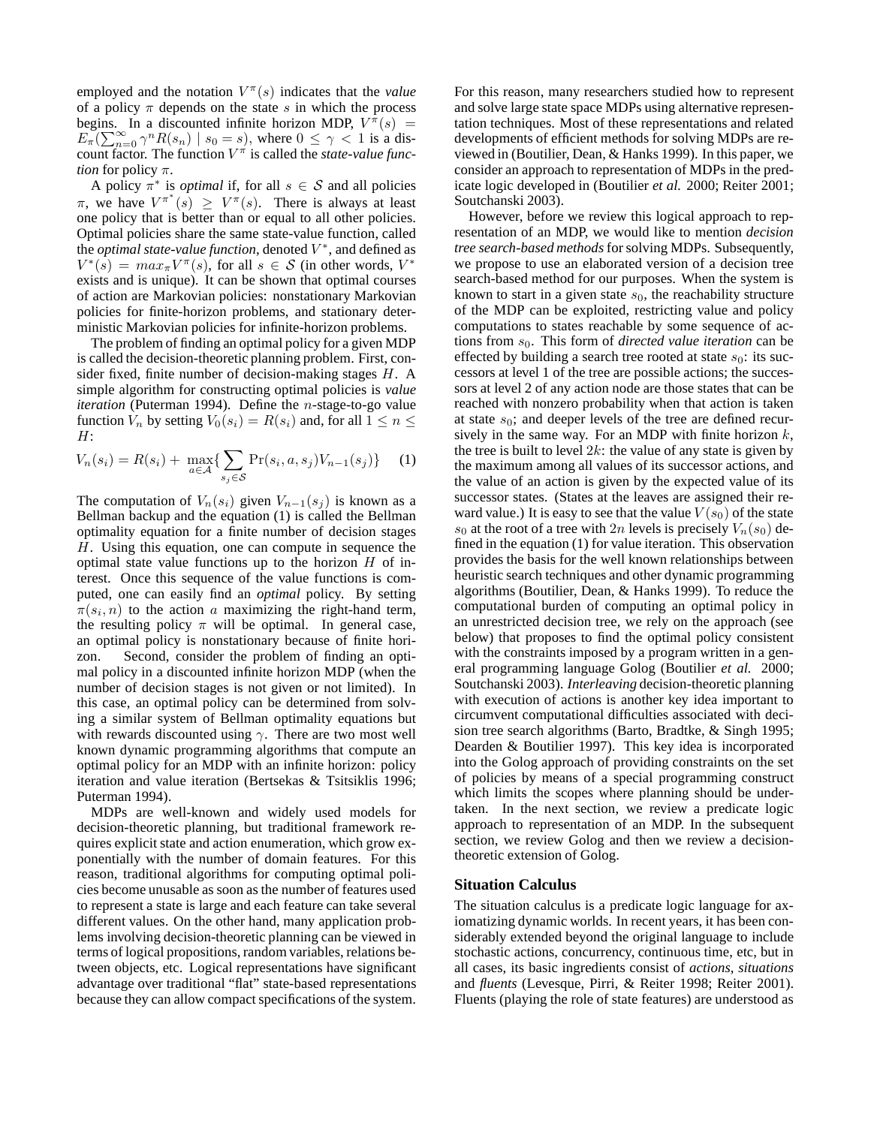employed and the notation  $V^{\pi}(s)$  indicates that the *value* of a policy  $\pi$  depends on the state s in which the process begins. In a discounted infinite horizon MDP,  $V^{\pi}(s)$  =  $E_{\pi}(\sum_{n=0}^{\infty} \gamma^{n} R(s_{n}) | s_{0} = s)$ , where  $0 \leq \gamma < 1$  is a discount factor. The function  $V^{\pi}$  is called the *state-value function* for policy π.

A policy  $\pi^*$  is *optimal* if, for all  $s \in S$  and all policies  $\pi$ , we have  $V^{\pi^*}(s) \geq V^{\pi}(s)$ . There is always at least one policy that is better than or equal to all other policies. Optimal policies share the same state-value function, called the *optimal state-value function*, denoted  $V^*$ , and defined as  $V^*(\hat{s}) = max_{\pi} V^{\pi}(s)$ , for all  $s \in S$  (in other words,  $V^*$ exists and is unique). It can be shown that optimal courses of action are Markovian policies: nonstationary Markovian policies for finite-horizon problems, and stationary deterministic Markovian policies for infinite-horizon problems.

The problem of finding an optimal policy for a given MDP is called the decision-theoretic planning problem. First, consider fixed, finite number of decision-making stages H. A simple algorithm for constructing optimal policies is *value iteration* (Puterman 1994). Define the *n*-stage-to-go value function  $V_n$  by setting  $V_0(s_i) = R(s_i)$  and, for all  $1 \leq n \leq$ H:

$$
V_n(s_i) = R(s_i) + \max_{a \in \mathcal{A}} \{ \sum_{s_j \in \mathcal{S}} \Pr(s_i, a, s_j) V_{n-1}(s_j) \} \tag{1}
$$

The computation of  $V_n(s_i)$  given  $V_{n-1}(s_i)$  is known as a Bellman backup and the equation (1) is called the Bellman optimality equation for a finite number of decision stages H. Using this equation, one can compute in sequence the optimal state value functions up to the horizon  $H$  of interest. Once this sequence of the value functions is computed, one can easily find an *optimal* policy. By setting  $\pi(s_i, n)$  to the action a maximizing the right-hand term, the resulting policy  $\pi$  will be optimal. In general case, an optimal policy is nonstationary because of finite horizon. Second, consider the problem of finding an optimal policy in a discounted infinite horizon MDP (when the number of decision stages is not given or not limited). In this case, an optimal policy can be determined from solving a similar system of Bellman optimality equations but with rewards discounted using  $\gamma$ . There are two most well known dynamic programming algorithms that compute an optimal policy for an MDP with an infinite horizon: policy iteration and value iteration (Bertsekas & Tsitsiklis 1996; Puterman 1994).

MDPs are well-known and widely used models for decision-theoretic planning, but traditional framework requires explicit state and action enumeration, which grow exponentially with the number of domain features. For this reason, traditional algorithms for computing optimal policies become unusable as soon as the number of features used to represent a state is large and each feature can take several different values. On the other hand, many application problems involving decision-theoretic planning can be viewed in terms of logical propositions, random variables, relations between objects, etc. Logical representations have significant advantage over traditional "flat" state-based representations because they can allow compact specifications of the system.

For this reason, many researchers studied how to represent and solve large state space MDPs using alternative representation techniques. Most of these representations and related developments of efficient methods for solving MDPs are reviewed in (Boutilier, Dean, & Hanks 1999). In this paper, we consider an approach to representation of MDPs in the predicate logic developed in (Boutilier *et al.* 2000; Reiter 2001; Soutchanski 2003).

However, before we review this logical approach to representation of an MDP, we would like to mention *decision tree search-based methods*for solving MDPs. Subsequently, we propose to use an elaborated version of a decision tree search-based method for our purposes. When the system is known to start in a given state  $s_0$ , the reachability structure of the MDP can be exploited, restricting value and policy computations to states reachable by some sequence of actions from  $s_0$ . This form of *directed value iteration* can be effected by building a search tree rooted at state  $s_0$ : its successors at level 1 of the tree are possible actions; the successors at level 2 of any action node are those states that can be reached with nonzero probability when that action is taken at state  $s_0$ ; and deeper levels of the tree are defined recursively in the same way. For an MDP with finite horizon  $k$ , the tree is built to level  $2k$ : the value of any state is given by the maximum among all values of its successor actions, and the value of an action is given by the expected value of its successor states. (States at the leaves are assigned their reward value.) It is easy to see that the value  $V(s_0)$  of the state  $s_0$  at the root of a tree with 2n levels is precisely  $V_n(s_0)$  defined in the equation (1) for value iteration. This observation provides the basis for the well known relationships between heuristic search techniques and other dynamic programming algorithms (Boutilier, Dean, & Hanks 1999). To reduce the computational burden of computing an optimal policy in an unrestricted decision tree, we rely on the approach (see below) that proposes to find the optimal policy consistent with the constraints imposed by a program written in a general programming language Golog (Boutilier *et al.* 2000; Soutchanski 2003). *Interleaving* decision-theoretic planning with execution of actions is another key idea important to circumvent computational difficulties associated with decision tree search algorithms (Barto, Bradtke, & Singh 1995; Dearden & Boutilier 1997). This key idea is incorporated into the Golog approach of providing constraints on the set of policies by means of a special programming construct which limits the scopes where planning should be undertaken. In the next section, we review a predicate logic approach to representation of an MDP. In the subsequent section, we review Golog and then we review a decisiontheoretic extension of Golog.

#### **Situation Calculus**

The situation calculus is a predicate logic language for axiomatizing dynamic worlds. In recent years, it has been considerably extended beyond the original language to include stochastic actions, concurrency, continuous time, etc, but in all cases, its basic ingredients consist of *actions*, *situations* and *fluents* (Levesque, Pirri, & Reiter 1998; Reiter 2001). Fluents (playing the role of state features) are understood as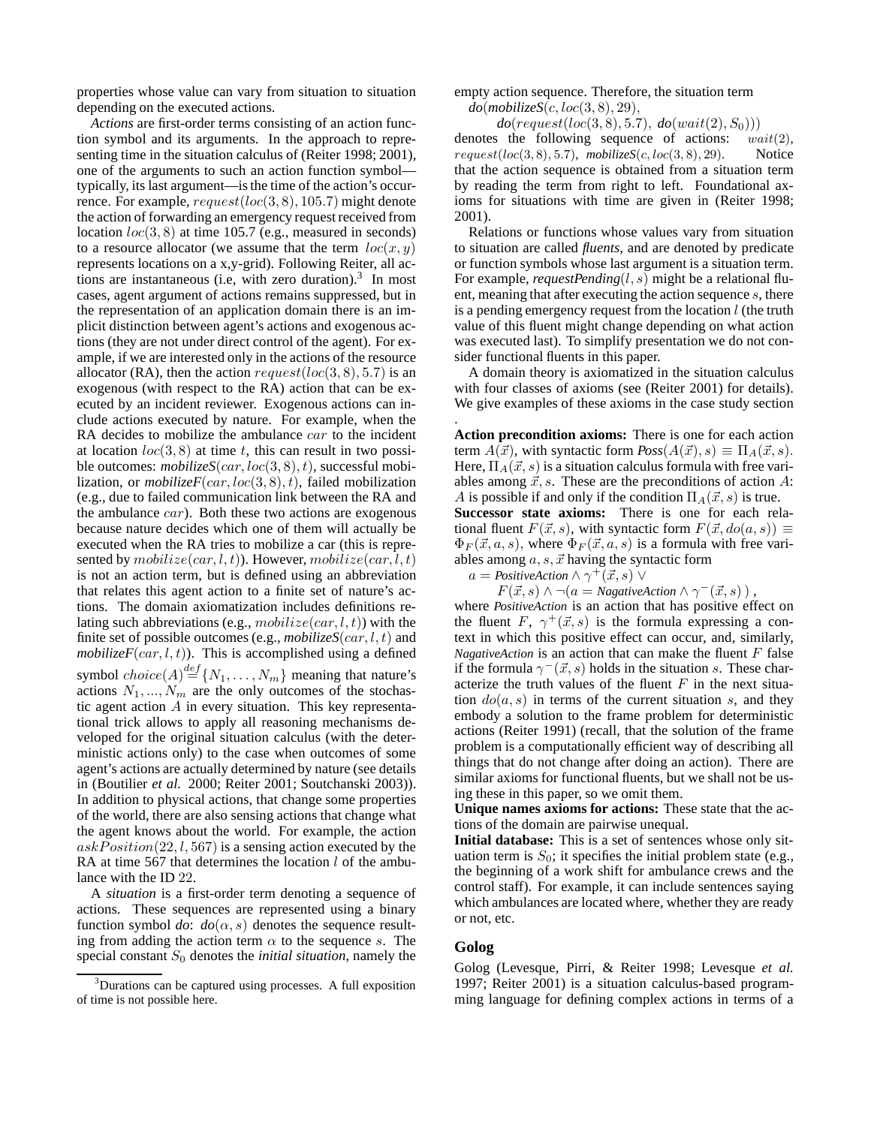properties whose value can vary from situation to situation depending on the executed actions.

*Actions* are first-order terms consisting of an action function symbol and its arguments. In the approach to representing time in the situation calculus of (Reiter 1998; 2001), one of the arguments to such an action function symbol typically, its last argument—is the time of the action's occurrence. For example,  $request(loc(3, 8), 105.7)$  might denote the action of forwarding an emergency request received from location  $loc(3, 8)$  at time 105.7 (e.g., measured in seconds) to a resource allocator (we assume that the term  $loc(x, y)$ ) represents locations on a x,y-grid). Following Reiter, all actions are instantaneous (i.e, with zero duration).<sup>3</sup> In most cases, agent argument of actions remains suppressed, but in the representation of an application domain there is an implicit distinction between agent's actions and exogenous actions (they are not under direct control of the agent). For example, if we are interested only in the actions of the resource allocator (RA), then the action  $request(loc(3, 8), 5.7)$  is an exogenous (with respect to the RA) action that can be executed by an incident reviewer. Exogenous actions can include actions executed by nature. For example, when the RA decides to mobilize the ambulance *car* to the incident at location  $loc(3, 8)$  at time t, this can result in two possible outcomes:  $mobilez\epsilonS(car, loc(3, 8), t)$ , successful mobilization, or *mobilizeF*( $car, loc(3, 8), t$ ), failed mobilization (e.g., due to failed communication link between the RA and the ambulance car). Both these two actions are exogenous because nature decides which one of them will actually be executed when the RA tries to mobilize a car (this is represented by  $mobilez$ e(car, l, t)). However,  $mobilez$ e(car, l, t) is not an action term, but is defined using an abbreviation that relates this agent action to a finite set of nature's actions. The domain axiomatization includes definitions relating such abbreviations (e.g.,  $mobilez$ ) with the finite set of possible outcomes (e.g., *mobilizeS(car, l, t)* and *mobilizeF*( $car, l, t$ )). This is accomplished using a defined symbol  $choice(A) \stackrel{def}{=} \{N_1, \ldots, N_m\}$  meaning that nature's actions  $N_1, ..., N_m$  are the only outcomes of the stochastic agent action A in every situation. This key representational trick allows to apply all reasoning mechanisms developed for the original situation calculus (with the deterministic actions only) to the case when outcomes of some agent's actions are actually determined by nature (see details in (Boutilier *et al.* 2000; Reiter 2001; Soutchanski 2003)). In addition to physical actions, that change some properties of the world, there are also sensing actions that change what the agent knows about the world. For example, the action  $askPosition(22, l, 567)$  is a sensing action executed by the RA at time 567 that determines the location  $l$  of the ambulance with the ID 22.

A *situation* is a first-order term denoting a sequence of actions. These sequences are represented using a binary function symbol *do*:  $d\rho(\alpha, s)$  denotes the sequence resulting from adding the action term  $\alpha$  to the sequence s. The special constant  $S_0$  denotes the *initial situation*, namely the

empty action sequence. Therefore, the situation term *do*(*mobilizeS*(c, loc(3, 8), 29),

 $do(request(loc(3, 8), 5.7), do(wait(2), S_0)))$ <br>is the following sequence of actions: wait(2), denotes the following sequence of actions:  $request(loc(3, 8), 5.7), mobilecS(c, loc(3, 8), 29).$  Notice that the action sequence is obtained from a situation term by reading the term from right to left. Foundational axioms for situations with time are given in (Reiter 1998; 2001).

Relations or functions whose values vary from situation to situation are called *fluents*, and are denoted by predicate or function symbols whose last argument is a situation term. For example, *requestPending*(l, s) might be a relational fluent, meaning that after executing the action sequence s, there is a pending emergency request from the location  $l$  (the truth value of this fluent might change depending on what action was executed last). To simplify presentation we do not consider functional fluents in this paper.

A domain theory is axiomatized in the situation calculus with four classes of axioms (see (Reiter 2001) for details). We give examples of these axioms in the case study section

**Action precondition axioms:** There is one for each action term  $A(\vec{x})$ , with syntactic form  $Poss(A(\vec{x}), s) \equiv \Pi_A(\vec{x}, s)$ . Here,  $\Pi_A(\vec{x}, s)$  is a situation calculus formula with free variables among  $\vec{x}$ , s. These are the preconditions of action A: A is possible if and only if the condition  $\Pi_A(\vec{x}, s)$  is true.

**Successor state axioms:** There is one for each relational fluent  $F(\vec{x}, s)$ , with syntactic form  $F(\vec{x}, do(a, s)) \equiv$  $\Phi_F(\vec{x}, a, s)$ , where  $\Phi_F(\vec{x}, a, s)$  is a formula with free variables among  $a, s, \vec{x}$  having the syntactic form

 $a = \textit{PositiveAction} \land \gamma^+(\vec{x},s) \lor$ 

 $F(\vec{x}, s) \wedge \neg (a = \text{NagativeAction} \wedge \gamma^-(\vec{x}, s))$ ,

where *PositiveAction* is an action that has positive effect on the fluent F,  $\gamma^+(\vec{x}, s)$  is the formula expressing a context in which this positive effect can occur, and, similarly, *NagativeAction* is an action that can make the fluent  $F$  false if the formula  $\gamma^-(\vec{x}, s)$  holds in the situation s. These characterize the truth values of the fluent  $F$  in the next situation  $do(a, s)$  in terms of the current situation s, and they embody a solution to the frame problem for deterministic actions (Reiter 1991) (recall, that the solution of the frame problem is a computationally efficient way of describing all things that do not change after doing an action). There are similar axioms for functional fluents, but we shall not be using these in this paper, so we omit them.

**Unique names axioms for actions:** These state that the actions of the domain are pairwise unequal.

**Initial database:** This is a set of sentences whose only situation term is  $S_0$ ; it specifies the initial problem state (e.g., the beginning of a work shift for ambulance crews and the control staff). For example, it can include sentences saying which ambulances are located where, whether they are ready or not, etc.

### **Golog**

.

Golog (Levesque, Pirri, & Reiter 1998; Levesque *et al.* 1997; Reiter 2001) is a situation calculus-based programming language for defining complex actions in terms of a

 $3$ Durations can be captured using processes. A full exposition of time is not possible here.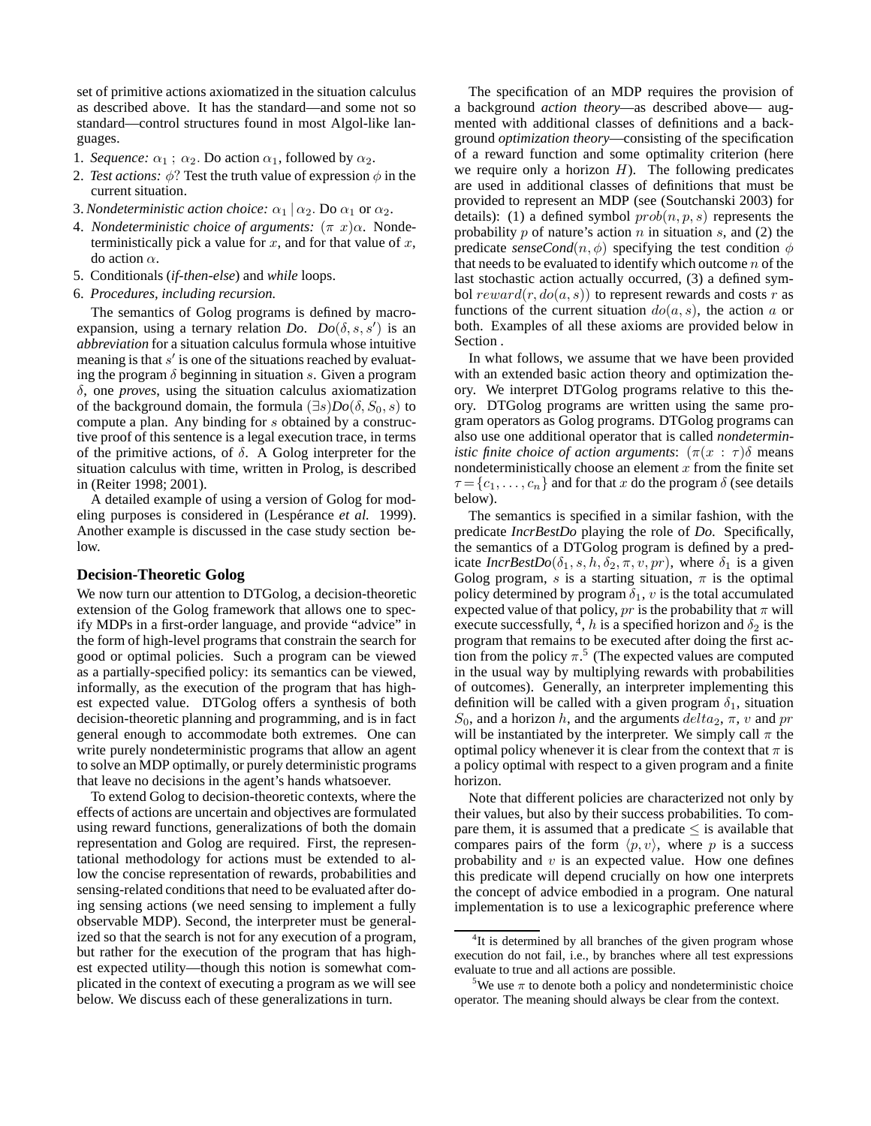set of primitive actions axiomatized in the situation calculus as described above. It has the standard—and some not so standard—control structures found in most Algol-like languages.

- 1. *Sequence:*  $\alpha_1$ ;  $\alpha_2$ . Do action  $\alpha_1$ , followed by  $\alpha_2$ .
- 2. *Test actions:*  $\phi$ ? Test the truth value of expression  $\phi$  in the current situation.
- 3. *Nondeterministic action choice:*  $\alpha_1 | \alpha_2$ . Do  $\alpha_1$  or  $\alpha_2$ .
- 4. *Nondeterministic choice of arguments:* (π x)α. Nondeterministically pick a value for  $x$ , and for that value of  $x$ , do action α.
- 5. Conditionals (*if-then-else*) and *while* loops.
- 6. *Procedures, including recursion.*

The semantics of Golog programs is defined by macroexpansion, using a ternary relation *Do.*  $Do(\delta, s, s')$  is an *abbreviation* for a situation calculus formula whose intuitive meaning is that  $s'$  is one of the situations reached by evaluating the program  $\delta$  beginning in situation s. Given a program δ, one *proves*, using the situation calculus axiomatization of the background domain, the formula  $(\exists s)Do(\delta, S_0, s)$  to compute a plan. Any binding for s obtained by a constructive proof of this sentence is a legal execution trace, in terms of the primitive actions, of  $\delta$ . A Golog interpreter for the situation calculus with time, written in Prolog, is described in (Reiter 1998; 2001).

A detailed example of using a version of Golog for modeling purposes is considered in (Lespérance *et al.* 1999). Another example is discussed in the case study section below.

### **Decision-Theoretic Golog**

We now turn our attention to DTGolog, a decision-theoretic extension of the Golog framework that allows one to specify MDPs in a first-order language, and provide "advice" in the form of high-level programs that constrain the search for good or optimal policies. Such a program can be viewed as a partially-specified policy: its semantics can be viewed, informally, as the execution of the program that has highest expected value. DTGolog offers a synthesis of both decision-theoretic planning and programming, and is in fact general enough to accommodate both extremes. One can write purely nondeterministic programs that allow an agent to solve an MDP optimally, or purely deterministic programs that leave no decisions in the agent's hands whatsoever.

To extend Golog to decision-theoretic contexts, where the effects of actions are uncertain and objectives are formulated using reward functions, generalizations of both the domain representation and Golog are required. First, the representational methodology for actions must be extended to allow the concise representation of rewards, probabilities and sensing-related conditions that need to be evaluated after doing sensing actions (we need sensing to implement a fully observable MDP). Second, the interpreter must be generalized so that the search is not for any execution of a program, but rather for the execution of the program that has highest expected utility—though this notion is somewhat complicated in the context of executing a program as we will see below. We discuss each of these generalizations in turn.

The specification of an MDP requires the provision of a background *action theory*—as described above— augmented with additional classes of definitions and a background *optimization theory*—consisting of the specification of a reward function and some optimality criterion (here we require only a horizon  $H$ ). The following predicates are used in additional classes of definitions that must be provided to represent an MDP (see (Soutchanski 2003) for details): (1) a defined symbol  $prob(n, p, s)$  represents the probability  $p$  of nature's action  $n$  in situation  $s$ , and (2) the predicate *senseCond* $(n, \phi)$  specifying the test condition  $\phi$ that needs to be evaluated to identify which outcome  $n$  of the last stochastic action actually occurred, (3) a defined symbol  $reward(r, do(a, s))$  to represent rewards and costs r as functions of the current situation  $do(a, s)$ , the action a or both. Examples of all these axioms are provided below in Section .

In what follows, we assume that we have been provided with an extended basic action theory and optimization theory. We interpret DTGolog programs relative to this theory. DTGolog programs are written using the same program operators as Golog programs. DTGolog programs can also use one additional operator that is called *nondeterministic finite choice of action arguments*:  $(\pi(x : \tau)\delta)$  means nondeterministically choose an element  $x$  from the finite set  $\tau = \{c_1, \ldots, c_n\}$  and for that x do the program  $\delta$  (see details below).

The semantics is specified in a similar fashion, with the predicate *IncrBestDo* playing the role of *Do*. Specifically, the semantics of a DTGolog program is defined by a predicate *IncrBestDo*( $\delta_1$ , s, h,  $\delta_2$ ,  $\pi$ , v, pr), where  $\delta_1$  is a given Golog program, s is a starting situation,  $\pi$  is the optimal policy determined by program  $\delta_1$ , v is the total accumulated expected value of that policy,  $pr$  is the probability that  $\pi$  will execute successfully,  $\frac{4}{3}$ , h is a specified horizon and  $\delta_2$  is the program that remains to be executed after doing the first action from the policy  $\pi$ <sup>5</sup> (The expected values are computed in the usual way by multiplying rewards with probabilities of outcomes). Generally, an interpreter implementing this definition will be called with a given program  $\delta_1$ , situation  $S_0$ , and a horizon h, and the arguments  $delta_2, \pi, v$  and pr will be instantiated by the interpreter. We simply call  $\pi$  the optimal policy whenever it is clear from the context that  $\pi$  is a policy optimal with respect to a given program and a finite horizon.

Note that different policies are characterized not only by their values, but also by their success probabilities. To compare them, it is assumed that a predicate  $\leq$  is available that compares pairs of the form  $\langle p, v \rangle$ , where p is a success probability and  $v$  is an expected value. How one defines this predicate will depend crucially on how one interprets the concept of advice embodied in a program. One natural implementation is to use a lexicographic preference where

<sup>&</sup>lt;sup>4</sup>It is determined by all branches of the given program whose execution do not fail, i.e., by branches where all test expressions evaluate to true and all actions are possible.

<sup>&</sup>lt;sup>5</sup>We use  $\pi$  to denote both a policy and nondeterministic choice operator. The meaning should always be clear from the context.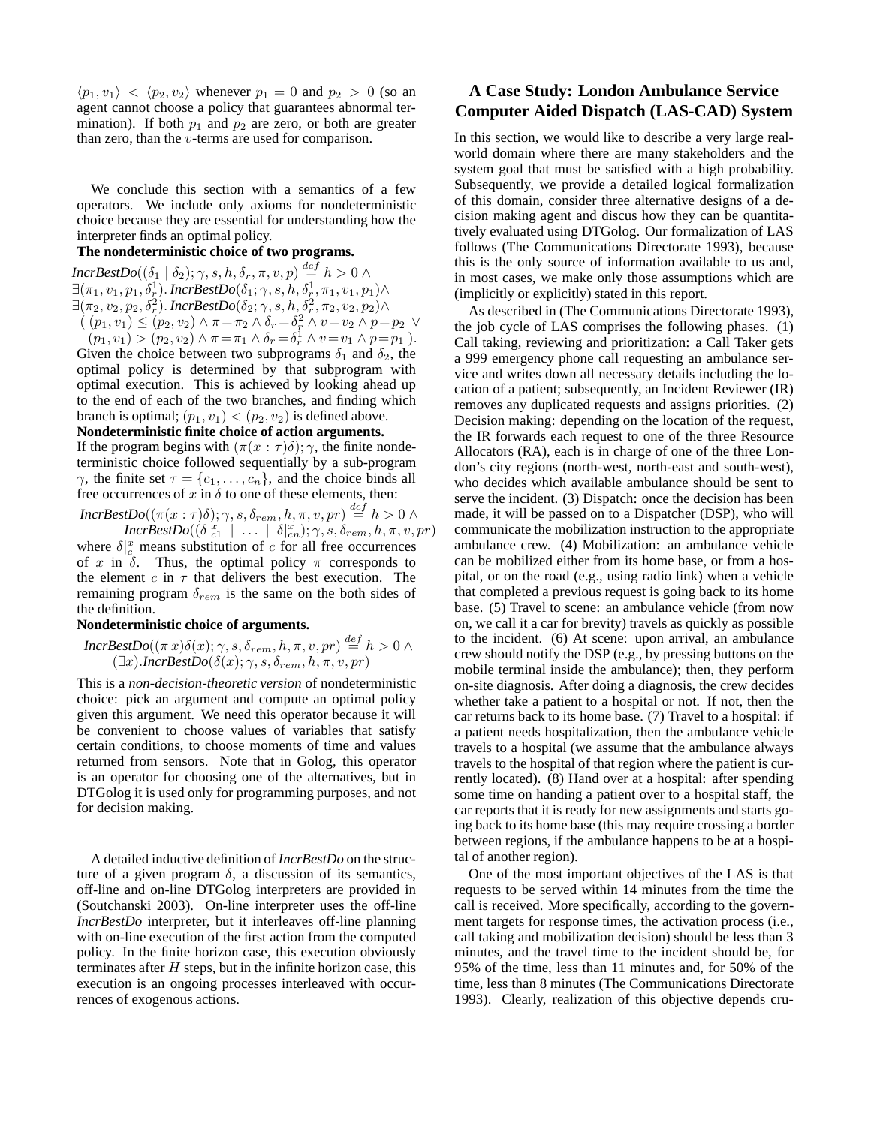$\langle p_1, v_1 \rangle < \langle p_2, v_2 \rangle$  whenever  $p_1 = 0$  and  $p_2 > 0$  (so an agent cannot choose a policy that guarantees abnormal termination). If both  $p_1$  and  $p_2$  are zero, or both are greater than zero, than the v-terms are used for comparison.

We conclude this section with a semantics of a few operators. We include only axioms for nondeterministic choice because they are essential for understanding how the interpreter finds an optimal policy.

### **The nondeterministic choice of two programs.**

 $\mathit{IncrBestDo}((\delta_1\mid \delta_2); \gamma, s, h, \delta_r, \pi, v, p) \stackrel{def}{=} h > 0 \land$  $\exists (\pi_1, v_1, p_1, \delta^1_r)$ . IncrBestDo $(\delta_1; \gamma, s, h, \delta^1_r, \pi_1, v_1, p_1) \wedge$  $\exists (\pi_2, v_2, p_2, \delta_r^2)$ . Incr $\textit{BestDo}(\delta_2; \gamma, s, h, \delta_r^2, \pi_2, v_2, p_2) \land$  $(p_1, v_1) \leq (p_2, v_2) \wedge \pi = \pi_2 \wedge \delta_r = \delta_r^2 \wedge v = v_2 \wedge p = p_2 \vee$ 

 $(p_1, v_1) > (p_2, v_2) \wedge \pi = \pi_1 \wedge \delta_r = \delta_r^1 \wedge v = v_1 \wedge p = p_1$ ). Given the choice between two subprograms  $\delta_1$  and  $\delta_2$ , the optimal policy is determined by that subprogram with optimal execution. This is achieved by looking ahead up to the end of each of the two branches, and finding which branch is optimal;  $(p_1, v_1) < (p_2, v_2)$  is defined above.

#### **Nondeterministic finite choice of action arguments.**

If the program begins with  $(\pi(x : \tau)\delta); \gamma$ , the finite nondeterministic choice followed sequentially by a sub-program  $\gamma$ , the finite set  $\tau = \{c_1, \ldots, c_n\}$ , and the choice binds all free occurrences of x in  $\delta$  to one of these elements, then:

 $IncrBestDo((\pi(x:\tau)\delta);\gamma,s,\delta_{rem},h,\pi,v,pr) \overset{def}{=} h>0 \; \wedge$  $Incr\ddot{BestDo}((\delta|_{c1}^x \mid ... \mid \delta|_{cn}^x);\gamma,s,\delta_{rem},h,\pi,v,pr)$ 

where  $\delta \vert_c^x$  means substitution of c for all free occurrences of x in  $\delta$ . Thus, the optimal policy  $\pi$  corresponds to the element  $c$  in  $\tau$  that delivers the best execution. The remaining program  $\delta_{rem}$  is the same on the both sides of the definition.

### **Nondeterministic choice of arguments.**

$$
IncrBestDo((\pi x)\delta(x);\gamma,s,\delta_{rem},h,\pi,v,pr) \stackrel{def}{=} h > 0 \land (\exists x).IncrBestDo(\delta(x);\gamma,s,\delta_{rem},h,\pi,v,pr)
$$

This is a *non-decision-theoretic version* of nondeterministic choice: pick an argument and compute an optimal policy given this argument. We need this operator because it will be convenient to choose values of variables that satisfy certain conditions, to choose moments of time and values returned from sensors. Note that in Golog, this operator is an operator for choosing one of the alternatives, but in DTGolog it is used only for programming purposes, and not for decision making.

A detailed inductive definition of *IncrBestDo* on the structure of a given program  $\delta$ , a discussion of its semantics, off-line and on-line DTGolog interpreters are provided in (Soutchanski 2003). On-line interpreter uses the off-line *IncrBestDo* interpreter, but it interleaves off-line planning with on-line execution of the first action from the computed policy. In the finite horizon case, this execution obviously terminates after  $H$  steps, but in the infinite horizon case, this execution is an ongoing processes interleaved with occurrences of exogenous actions.

# **A Case Study: London Ambulance Service Computer Aided Dispatch (LAS-CAD) System**

In this section, we would like to describe a very large realworld domain where there are many stakeholders and the system goal that must be satisfied with a high probability. Subsequently, we provide a detailed logical formalization of this domain, consider three alternative designs of a decision making agent and discus how they can be quantitatively evaluated using DTGolog. Our formalization of LAS follows (The Communications Directorate 1993), because this is the only source of information available to us and, in most cases, we make only those assumptions which are (implicitly or explicitly) stated in this report.

As described in (The Communications Directorate 1993), the job cycle of LAS comprises the following phases. (1) Call taking, reviewing and prioritization: a Call Taker gets a 999 emergency phone call requesting an ambulance service and writes down all necessary details including the location of a patient; subsequently, an Incident Reviewer (IR) removes any duplicated requests and assigns priorities. (2) Decision making: depending on the location of the request, the IR forwards each request to one of the three Resource Allocators (RA), each is in charge of one of the three London's city regions (north-west, north-east and south-west), who decides which available ambulance should be sent to serve the incident. (3) Dispatch: once the decision has been made, it will be passed on to a Dispatcher (DSP), who will communicate the mobilization instruction to the appropriate ambulance crew. (4) Mobilization: an ambulance vehicle can be mobilized either from its home base, or from a hospital, or on the road (e.g., using radio link) when a vehicle that completed a previous request is going back to its home base. (5) Travel to scene: an ambulance vehicle (from now on, we call it a car for brevity) travels as quickly as possible to the incident. (6) At scene: upon arrival, an ambulance crew should notify the DSP (e.g., by pressing buttons on the mobile terminal inside the ambulance); then, they perform on-site diagnosis. After doing a diagnosis, the crew decides whether take a patient to a hospital or not. If not, then the car returns back to its home base. (7) Travel to a hospital: if a patient needs hospitalization, then the ambulance vehicle travels to a hospital (we assume that the ambulance always travels to the hospital of that region where the patient is currently located). (8) Hand over at a hospital: after spending some time on handing a patient over to a hospital staff, the car reports that it is ready for new assignments and starts going back to its home base (this may require crossing a border between regions, if the ambulance happens to be at a hospital of another region).

One of the most important objectives of the LAS is that requests to be served within 14 minutes from the time the call is received. More specifically, according to the government targets for response times, the activation process (i.e., call taking and mobilization decision) should be less than 3 minutes, and the travel time to the incident should be, for 95% of the time, less than 11 minutes and, for 50% of the time, less than 8 minutes (The Communications Directorate 1993). Clearly, realization of this objective depends cru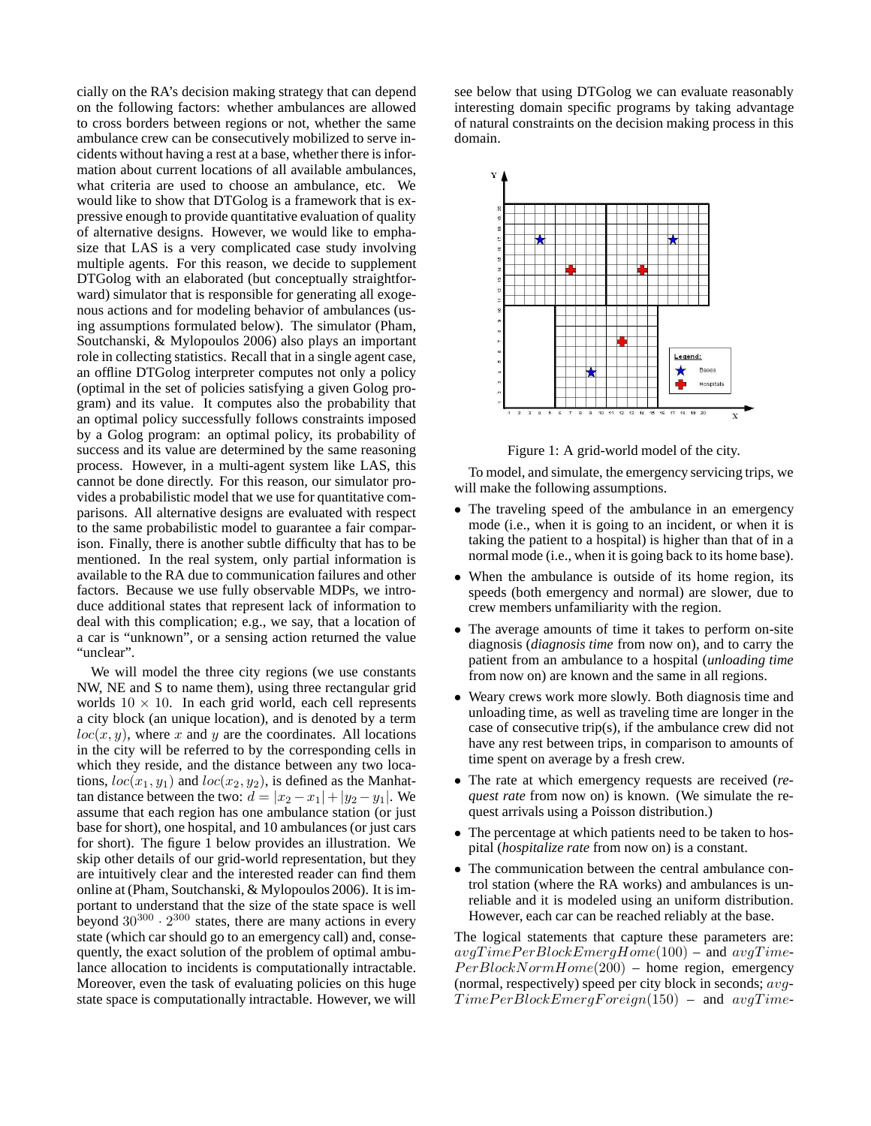cially on the RA's decision making strategy that can depend on the following factors: whether ambulances are allowed to cross borders between regions or not, whether the same ambulance crew can be consecutively mobilized to serve incidents without having a rest at a base, whether there is information about current locations of all available ambulances, what criteria are used to choose an ambulance, etc. We would like to show that DTGolog is a framework that is expressive enough to provide quantitative evaluation of quality of alternative designs. However, we would like to emphasize that LAS is a very complicated case study involving multiple agents. For this reason, we decide to supplement DTGolog with an elaborated (but conceptually straightforward) simulator that is responsible for generating all exogenous actions and for modeling behavior of ambulances (using assumptions formulated below). The simulator (Pham, Soutchanski, & Mylopoulos 2006) also plays an important role in collecting statistics. Recall that in a single agent case, an offline DTGolog interpreter computes not only a policy (optimal in the set of policies satisfying a given Golog program) and its value. It computes also the probability that an optimal policy successfully follows constraints imposed by a Golog program: an optimal policy, its probability of success and its value are determined by the same reasoning process. However, in a multi-agent system like LAS, this cannot be done directly. For this reason, our simulator provides a probabilistic model that we use for quantitative comparisons. All alternative designs are evaluated with respect to the same probabilistic model to guarantee a fair comparison. Finally, there is another subtle difficulty that has to be mentioned. In the real system, only partial information is available to the RA due to communication failures and other factors. Because we use fully observable MDPs, we introduce additional states that represent lack of information to deal with this complication; e.g., we say, that a location of a car is "unknown", or a sensing action returned the value "unclear".

We will model the three city regions (we use constants NW, NE and S to name them), using three rectangular grid worlds  $10 \times 10$ . In each grid world, each cell represents a city block (an unique location), and is denoted by a term  $loc(x, y)$ , where x and y are the coordinates. All locations in the city will be referred to by the corresponding cells in which they reside, and the distance between any two locations,  $loc(x_1, y_1)$  and  $loc(x_2, y_2)$ , is defined as the Manhattan distance between the two:  $d = |x_2 - x_1| + |y_2 - y_1|$ . We assume that each region has one ambulance station (or just base for short), one hospital, and 10 ambulances (or just cars for short). The figure 1 below provides an illustration. We skip other details of our grid-world representation, but they are intuitively clear and the interested reader can find them online at (Pham, Soutchanski, & Mylopoulos 2006). It is important to understand that the size of the state space is well beyond  $30^{300} \cdot 2^{300}$  states, there are many actions in every state (which car should go to an emergency call) and, consequently, the exact solution of the problem of optimal ambulance allocation to incidents is computationally intractable. Moreover, even the task of evaluating policies on this huge state space is computationally intractable. However, we will

see below that using DTGolog we can evaluate reasonably interesting domain specific programs by taking advantage of natural constraints on the decision making process in this domain.



Figure 1: A grid-world model of the city.

To model, and simulate, the emergency servicing trips, we will make the following assumptions.

- The traveling speed of the ambulance in an emergency mode (i.e., when it is going to an incident, or when it is taking the patient to a hospital) is higher than that of in a normal mode (i.e., when it is going back to its home base).
- When the ambulance is outside of its home region, its speeds (both emergency and normal) are slower, due to crew members unfamiliarity with the region.
- The average amounts of time it takes to perform on-site diagnosis (*diagnosis time* from now on), and to carry the patient from an ambulance to a hospital (*unloading time* from now on) are known and the same in all regions.
- Weary crews work more slowly. Both diagnosis time and unloading time, as well as traveling time are longer in the case of consecutive trip(s), if the ambulance crew did not have any rest between trips, in comparison to amounts of time spent on average by a fresh crew.
- The rate at which emergency requests are received (*request rate* from now on) is known. (We simulate the request arrivals using a Poisson distribution.)
- The percentage at which patients need to be taken to hospital (*hospitalize rate* from now on) is a constant.
- The communication between the central ambulance control station (where the RA works) and ambulances is unreliable and it is modeled using an uniform distribution. However, each car can be reached reliably at the base.

The logical statements that capture these parameters are:  $avgTimePerBlock EmergHome(100)$  – and  $avgTime PerBlockNormHome(200)$  – home region, emergency (normal, respectively) speed per city block in seconds;  $avg$ - $TimePerBlock Emerg Foreign(150)$  – and  $avgTime-$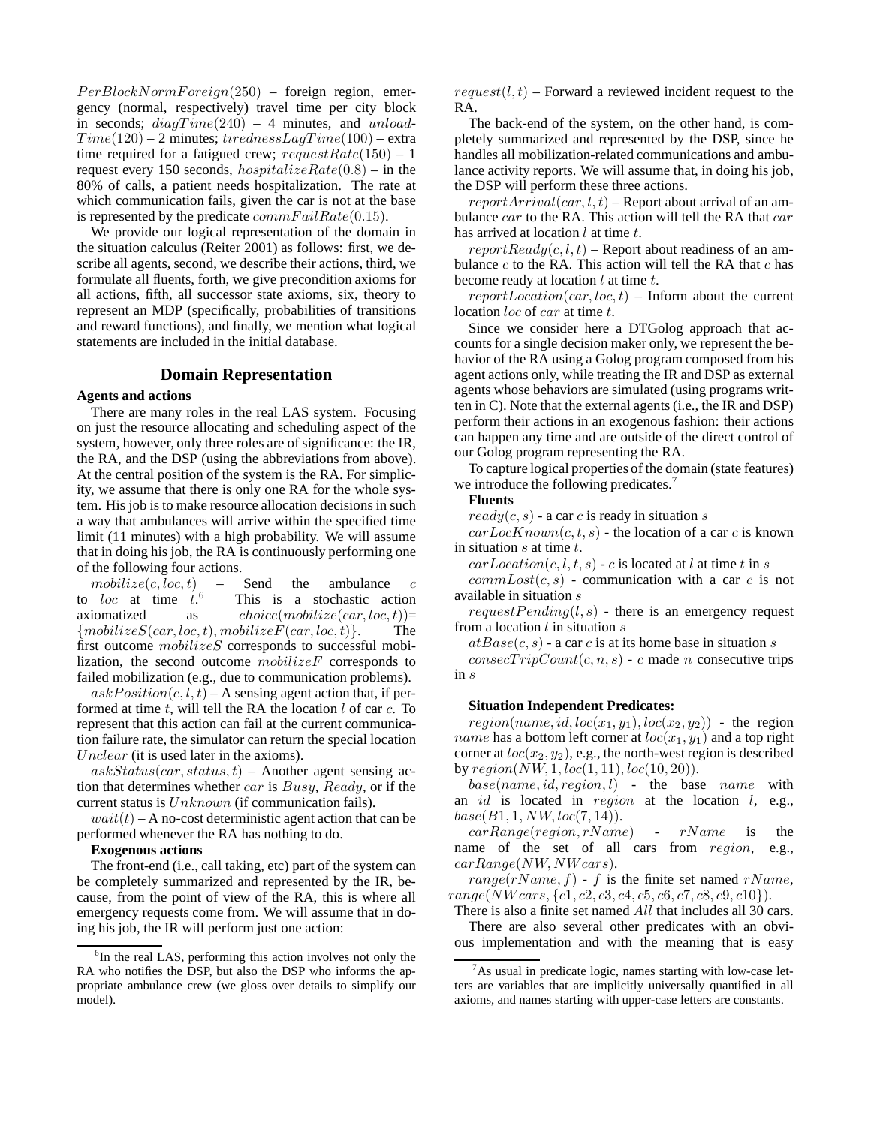$PerBlockNormForeign(250)$  – foreign region, emergency (normal, respectively) travel time per city block in seconds;  $diagTime(240) - 4$  minutes, and unload- $Time(120) - 2$  minutes; tirednessLaqTime(100) – extra time required for a fatigued crew;  $requestRate(150) - 1$ request every 150 seconds,  $hospitalizeRate(0.8)$  – in the 80% of calls, a patient needs hospitalization. The rate at which communication fails, given the car is not at the base is represented by the predicate  $commFailRate(0.15)$ .

We provide our logical representation of the domain in the situation calculus (Reiter 2001) as follows: first, we describe all agents, second, we describe their actions, third, we formulate all fluents, forth, we give precondition axioms for all actions, fifth, all successor state axioms, six, theory to represent an MDP (specifically, probabilities of transitions and reward functions), and finally, we mention what logical statements are included in the initial database.

### **Domain Representation**

#### **Agents and actions**

There are many roles in the real LAS system. Focusing on just the resource allocating and scheduling aspect of the system, however, only three roles are of significance: the IR, the RA, and the DSP (using the abbreviations from above). At the central position of the system is the RA. For simplicity, we assume that there is only one RA for the whole system. His job is to make resource allocation decisions in such a way that ambulances will arrive within the specified time limit (11 minutes) with a high probability. We will assume that in doing his job, the RA is continuously performing one of the following four actions.

 $mobileize(c, loc, t)$  – Send the ambulance c to loc at time  $t<sup>6</sup>$ This is a stochastic action axiomatized as  $choice(mobilize(car, loc, t))=$  ${mobilizeS}(car, loc, t), mobilizeF(car, loc, t)}.$  The first outcome  $mobileizeS$  corresponds to successful mobilization, the second outcome  $mobileizeF$  corresponds to failed mobilization (e.g., due to communication problems).

 $askPosition(c, l, t) - A$  sensing agent action that, if performed at time t, will tell the RA the location  $l$  of car  $c$ . To represent that this action can fail at the current communication failure rate, the simulator can return the special location Unclear (it is used later in the axioms).

 $askStatus(car, status, t)$  – Another agent sensing action that determines whether car is Busy, Ready, or if the current status is  $Unknown$  (if communication fails).

 $wait(t)$  – A no-cost deterministic agent action that can be performed whenever the RA has nothing to do.

#### **Exogenous actions**

The front-end (i.e., call taking, etc) part of the system can be completely summarized and represented by the IR, because, from the point of view of the RA, this is where all emergency requests come from. We will assume that in doing his job, the IR will perform just one action:

 $request(l, t)$  – Forward a reviewed incident request to the RA.

The back-end of the system, on the other hand, is completely summarized and represented by the DSP, since he handles all mobilization-related communications and ambulance activity reports. We will assume that, in doing his job, the DSP will perform these three actions.

 $reportArrival(car, l, t)$  – Report about arrival of an ambulance  $car$  to the RA. This action will tell the RA that  $car$ has arrived at location  $l$  at time  $t$ .

 $reportReady(c, l, t)$  – Report about readiness of an ambulance  $c$  to the RA. This action will tell the RA that  $c$  has become ready at location  $l$  at time  $t$ .

 $reportLocation(car, loc, t)$  – Inform about the current location *loc* of *car* at time *t*.

Since we consider here a DTGolog approach that accounts for a single decision maker only, we represent the behavior of the RA using a Golog program composed from his agent actions only, while treating the IR and DSP as external agents whose behaviors are simulated (using programs written in C). Note that the external agents (i.e., the IR and DSP) perform their actions in an exogenous fashion: their actions can happen any time and are outside of the direct control of our Golog program representing the RA.

To capture logical properties of the domain (state features) we introduce the following predicates.<sup>7</sup>

### **Fluents**

 $ready(c, s)$  - a car c is ready in situation s

 $carLocKnown(c, t, s)$  - the location of a car c is known in situation  $s$  at time  $t$ .

 $carLocation(c, l, t, s)$  - c is located at l at time t in s

 $commLoss(c, s)$  - communication with a car c is not available in situation s

 $requestPending(l, s)$  - there is an emergency request from a location  $l$  in situation  $s$ 

 $atBase(c, s)$  - a car c is at its home base in situation s

 $consecTripCount(c, n, s)$  - c made *n* consecutive trips in s

### **Situation Independent Predicates:**

 $region(name, id, loc(x_1, y_1), loc(x_2, y_2))$  - the region *name* has a bottom left corner at  $loc(x_1, y_1)$  and a top right corner at  $loc(x_2, y_2)$ , e.g., the north-west region is described by  $region(NW, 1, loc(1, 11), loc(10, 20)).$ 

 $base(name, id, region, l)$  - the base name with an  $id$  is located in region at the location  $l$ , e.g.,  $base(B1, 1, NW, loc(7, 14)).$ 

 $carRange(reqion, rName)$  -  $rName$  is the name of the set of all cars from region, e.g., carRange(NW, NW cars).

range(rName, f) - f is the finite set named rName,  $range(NW cars, \{c1, c2, c3, c4, c5, c6, c7, c8, c9, c10\}).$ 

There is also a finite set named All that includes all 30 cars. There are also several other predicates with an obvious implementation and with the meaning that is easy

<sup>&</sup>lt;sup>6</sup>In the real LAS, performing this action involves not only the RA who notifies the DSP, but also the DSP who informs the appropriate ambulance crew (we gloss over details to simplify our model).

 $\alpha$ <sup>7</sup>As usual in predicate logic, names starting with low-case letters are variables that are implicitly universally quantified in all axioms, and names starting with upper-case letters are constants.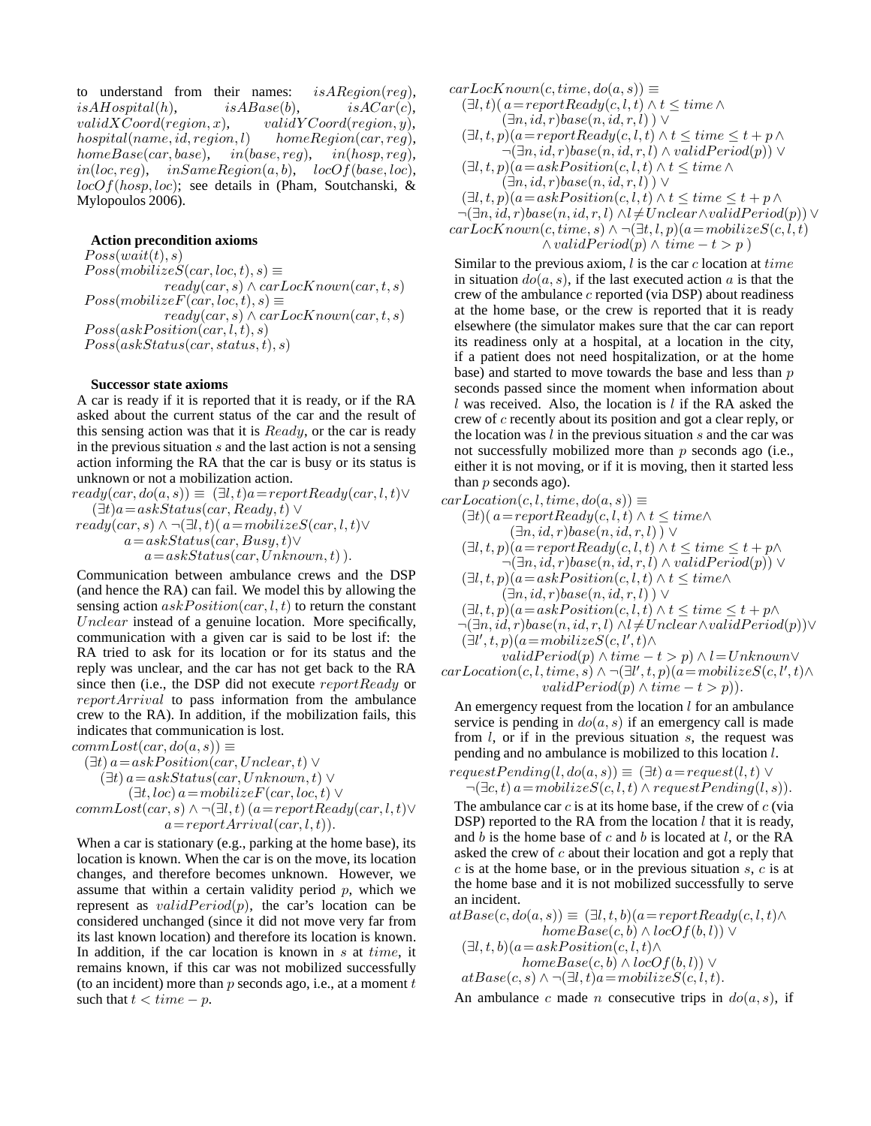to understand from their names:  $is ARegion (reg),$  $isAHospital(h),$   $isABase(b),$   $isACar(c),$  $validXCoord(region, x),$   $validXCoord(region, y),$ <br>hospital(name.id.region.l) homeRegion(car.req).  $hospital(name, id, region, l)$  $homeBase(car, base), \quad in(base, reg), \quad in(hosp, reg),$ in(loc, reg),  $inSameRegion(a, b)$ ,  $locOf(base, loc)$ ,  $locOf(hosp,loc)$ ; see details in (Pham, Soutchanski, & Mylopoulos 2006).

#### **Action precondition axioms**

 $Poss(wait(t), s)$  $Poss(mobilizeS(car, loc, t), s) \equiv$  $ready(car, s) \wedge carLocKnown(car, t, s)$  $Poss(mobilizeF(car, loc, t), s) \equiv$  $ready(car, s) \wedge carLocKnown(car, t, s)$  $Poss(askPosition(car, l, t), s)$  $Poss(askStatus(car, status, t), s)$ 

### **Successor state axioms**

A car is ready if it is reported that it is ready, or if the RA asked about the current status of the car and the result of this sensing action was that it is  $Ready$ , or the car is ready in the previous situation  $s$  and the last action is not a sensing action informing the RA that the car is busy or its status is unknown or not a mobilization action.

 $ready(car, do(a, s)) \equiv (\exists l, t)a = reportReady(car, l, t) \vee$  $(\exists t)a=askStatus(car, Ready, t) \vee$  $ready(car, s) \wedge \neg (\exists l, t) (a=mobileizeS(car, l, t) \vee$  $a=askStatus(car, Busy, t) \vee$  $a=askStatus(car, Unknown, t)$ .

Communication between ambulance crews and the DSP (and hence the RA) can fail. We model this by allowing the sensing action  $askPosition(car, l, t)$  to return the constant Unclear instead of a genuine location. More specifically, communication with a given car is said to be lost if: the RA tried to ask for its location or for its status and the reply was unclear, and the car has not get back to the RA since then (i.e., the DSP did not execute reportReady or reportArrival to pass information from the ambulance crew to the RA). In addition, if the mobilization fails, this indicates that communication is lost.

 $commLoss(car, do(a, s)) \equiv$ 

$$
(\exists t) a = askPosition(car, Unclear, t) \vee \n(\exists t) a = askStatus(car, Unknown, t) \vee \n(\exists t, loc) a = mobilizeF(car, loc, t) \vee \ncommLoss(car, s) \wedge \neg (\exists l, t) (a = reportReady(car, l, t) \vee \na = reportArrival(car, l, t)).
$$

When a car is stationary (e.g., parking at the home base), its location is known. When the car is on the move, its location changes, and therefore becomes unknown. However, we assume that within a certain validity period  $p$ , which we represent as  $validPeriod(p)$ , the car's location can be considered unchanged (since it did not move very far from its last known location) and therefore its location is known. In addition, if the car location is known in  $s$  at time, it remains known, if this car was not mobilized successfully (to an incident) more than  $p$  seconds ago, i.e., at a moment  $t$ such that  $t < time - p$ .

 $carLocknown(c, time, do(a, s)) \equiv$  $(\exists l, t)$ ( $a = reportReady(c, l, t) \wedge t \leq time \wedge$  $(\exists n. id, r) base(n, id, r, l)$  $(\exists l, t, p)(a = reportReady(c, l, t) \wedge t \leq time \leq t + p \wedge$  $\neg(\exists n, id, r) base(n, id, r, l) \wedge validPeriod(p)) \vee$ 

$$
(\exists l, t, p)(a = askPosition(c, l, t) \land t \leq time \land (\exists n, id, r) base(n, id, r, l)) \lor
$$

 $(\exists l, t, p)(a = askPosition(c, l, t) \wedge t \leq time \leq t + p \wedge$  $\neg(\exists n, id, r) base(n, id, r, l) \land l \neq Under \land validPeriod(p)) \lor$  $carLocKnown(c, time, s) \wedge \neg (\exists t, l, p)(a=mobileizeS(c, l, t))$  $\wedge validPeriod(p) \wedge time - t > p$ )

Similar to the previous axiom,  $l$  is the car  $c$  location at  $time$ in situation  $do(a, s)$ , if the last executed action a is that the crew of the ambulance  $c$  reported (via DSP) about readiness at the home base, or the crew is reported that it is ready elsewhere (the simulator makes sure that the car can report its readiness only at a hospital, at a location in the city, if a patient does not need hospitalization, or at the home base) and started to move towards the base and less than  $p$ seconds passed since the moment when information about l was received. Also, the location is l if the RA asked the crew of c recently about its position and got a clear reply, or the location was  $l$  in the previous situation  $s$  and the car was not successfully mobilized more than  $p$  seconds ago (i.e., either it is not moving, or if it is moving, then it started less than  $p$  seconds ago).

 $carLocation(c, l, time, do(a, s)) \equiv$ 

 $(\exists t)(a=reportReady(c, l, t) \wedge t \leq time \wedge$  $(\exists n, id, r) base(n, id, r, l)$ ) ∨

$$
(\exists l, t, p)(a = reportReady(c, l, t) \land t \leq time \leq t + p \land \neg(\exists n, id, r) base(n, id, r, l) \land validPeriod(p)) \lor
$$

 $(\exists l, t, p)(a=askPosition(c, l, t) \wedge t \leq time \wedge$  $(\exists n, id, r) base(n, id, r, l)$ )  $\vee$ 

 $(\exists l, t, p)(a = askPosition(c, l, t) \wedge t \leq time \leq t + p \wedge$ 

$$
\neg(\exists n, id, r) base(n, id, r, l) \land l \neq Unclear \land validPeriod(p)) \lor (\exists l', t, p)(a = mobilizeS(c, l', t) \land
$$

*validPeriod* $(p) \land time - t > p) \land l = Unknown \lor$  $carLocation(c, l, time, s) \wedge \neg (\exists l', t, p)(a = mobileizeS(c, l', t) \wedge$ validPeriod(p)  $\land$  time  $-t > p$ ).

An emergency request from the location  $l$  for an ambulance service is pending in  $do(a, s)$  if an emergency call is made from  $l$ , or if in the previous situation  $s$ , the request was pending and no ambulance is mobilized to this location l. request Pending(l, do(a, s)) =  $(∃t)$ 

$$
requestPenang(l,do(a,s)) \equiv (\exists t) \ a = request(l,t) \lor \neg(\exists c,t) \ a = mobility(l,s)).
$$

The ambulance car  $c$  is at its home base, if the crew of  $c$  (via DSP) reported to the RA from the location  $l$  that it is ready, and  $b$  is the home base of  $c$  and  $b$  is located at  $l$ , or the RA asked the crew of  $c$  about their location and got a reply that  $c$  is at the home base, or in the previous situation  $s$ ,  $c$  is at the home base and it is not mobilized successfully to serve an incident.

$$
atBase(c, do(a, s)) \equiv (\exists l, t, b)(a = reportReady(c, l, t) \land homeBase(c, b) \land locOf(b, l)) \lor
$$
  

$$
(\exists l, t, b)(a = askPosition(c, l, t) \land locOf(b, l)) \lor
$$
  

$$
homeBase(c, b) \land locOf(b, l)) \lor
$$
  

$$
atBase(c, s) \land \neg(\exists l, t)a = mobilizeS(c, l, t).
$$

An ambulance c made n consecutive trips in  $do(a, s)$ , if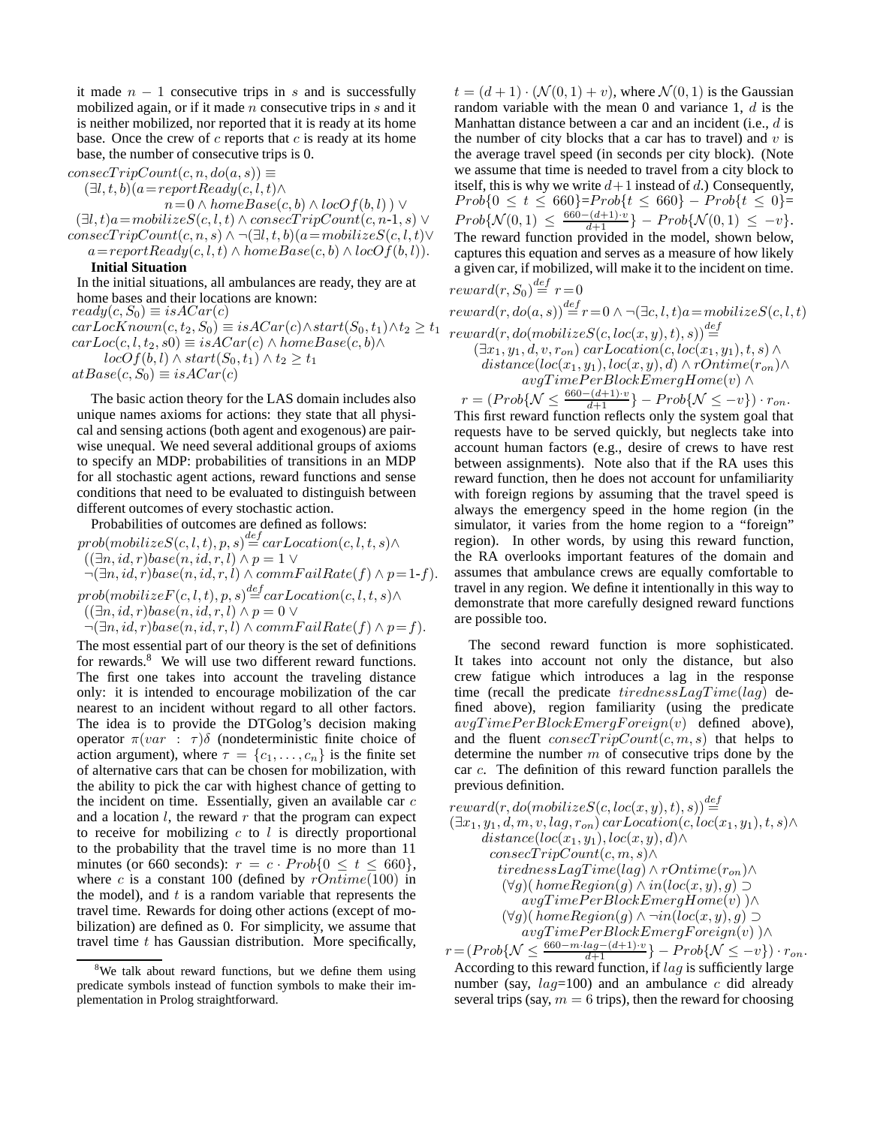it made  $n - 1$  consecutive trips in s and is successfully mobilized again, or if it made  $n$  consecutive trips in  $s$  and it is neither mobilized, nor reported that it is ready at its home base. Once the crew of  $c$  reports that  $c$  is ready at its home base, the number of consecutive trips is 0.

 $consecTripCount(c, n, do(a, s)) \equiv$ 

 $(\exists l, t, b)(a = reportReady(c, l, t) \wedge$ 

 $n= 0 \wedge homeBase(c, b) \wedge locOf(b, l)) \vee$  $(\exists l, t) a = mobility(C, l, t) \wedge consecTripleCount(c, n-1, s) \vee$  $consecTripCount(c, n, s) \wedge \neg (\exists l, t, b)(a=mobileizeS(c, l, t) \vee$ 

 $a=reportReady(c, l, t) \wedge homeBase(c, b) \wedge locOf(b, l)).$ 

# **Initial Situation**

In the initial situations, all ambulances are ready, they are at home bases and their locations are known:  $ready(c, S_0) \equiv isACar(c)$  $carLocKnown(c, t_2, S_0) \equiv isACar(c) \wedge start(S_0, t_1) \wedge t_2 \ge t_1$  $carLoc(c, l, t_2, s0) \equiv isACar(c) \wedge homeBase(c, b) \wedge$  $locOf(b, l) \wedge start(S_0, t_1) \wedge t_2 \geq t_1$ 

 $atBase(c, S_0) \equiv isACar(c)$ 

The basic action theory for the LAS domain includes also unique names axioms for actions: they state that all physical and sensing actions (both agent and exogenous) are pairwise unequal. We need several additional groups of axioms to specify an MDP: probabilities of transitions in an MDP for all stochastic agent actions, reward functions and sense conditions that need to be evaluated to distinguish between different outcomes of every stochastic action.

Probabilities of outcomes are defined as follows:  $prob(mobilizeS(c, l, t), p, s) \stackrel{def}{=} carLocation(c, l, t, s) \wedge$  $((\exists n, id, r) base(n, id, r, l) \wedge p = 1 \vee$ 

 $\neg(\exists n, id, r) base(n, id, r, l) \wedge commFailRate(f) \wedge p=1-f).$  $prob(mobilize F(c, l, t), p, s) \stackrel{def}{=} carLocation(c, l, t, s) \wedge$ 

 $((\exists n, id, r) base(n, id, r, l) \wedge p = 0 \vee$ 

 $\neg(\exists n, id, r) base(n, id, r, l) \wedge commFailRate(f) \wedge p = f).$ 

The most essential part of our theory is the set of definitions for rewards.<sup>8</sup> We will use two different reward functions. The first one takes into account the traveling distance only: it is intended to encourage mobilization of the car nearest to an incident without regard to all other factors. The idea is to provide the DTGolog's decision making operator  $\pi(var : \tau)\delta$  (nondeterministic finite choice of action argument), where  $\tau = \{c_1, \ldots, c_n\}$  is the finite set of alternative cars that can be chosen for mobilization, with the ability to pick the car with highest chance of getting to the incident on time. Essentially, given an available car  $c$ and a location  $l$ , the reward  $r$  that the program can expect to receive for mobilizing  $c$  to  $l$  is directly proportional to the probability that the travel time is no more than 11 minutes (or 660 seconds):  $r = c \cdot Prob\{0 \le t \le 660\},\$ where c is a constant 100 (defined by  $rOntime(100)$  in the model), and  $t$  is a random variable that represents the travel time. Rewards for doing other actions (except of mobilization) are defined as 0. For simplicity, we assume that travel time  $t$  has Gaussian distribution. More specifically,

 $t = (d+1) \cdot (\mathcal{N}(0, 1) + v)$ , where  $\mathcal{N}(0, 1)$  is the Gaussian random variable with the mean 0 and variance 1, d is the Manhattan distance between a car and an incident (i.e., d is the number of city blocks that a car has to travel) and  $v$  is the average travel speed (in seconds per city block). (Note we assume that time is needed to travel from a city block to itself, this is why we write  $d+1$  instead of d.) Consequently,  $Prob{0 \le t \le 660}$ = $Prob{t \le 660}$  -  $Prob{t \le 0}$ =  $Prob\{\mathcal{N}(0, 1) \leq \frac{660 - (d+1) \cdot v}{d+1}\} - Prob\{\mathcal{N}(0, 1) \leq -v\}.$ The reward function provided in the model, shown below, captures this equation and serves as a measure of how likely a given car, if mobilized, will make it to the incident on time.  $reward(r, S_0) \stackrel{def}{=} r = 0$ 

 $reward(r, do(a, s)) \stackrel{def}{=} r = 0 \land \neg (\exists c, l, t) a = mobilizeS(c, l, t)$  $reward(r, do(mobilizeS(c, loc(x, y), t), s)) \stackrel{def}{=}$  $(\exists x_1, y_1, d, v, r_{on})$  carLocation $(c, loc(x_1, y_1), t, s) \wedge$  $distance(loc(x_1, y_1), loc(x, y), d) \wedge rOnline(r_{on}) \wedge$  $avgTimePerBlockEmergHome(v) \wedge$ 

 $r = (Prob\{N \leq \frac{660 - (d+1) \cdot v}{d+1}\} - Prob\{\mathcal{N} \leq -v\}) \cdot r_{on}.$ This first reward function reflects only the system goal that requests have to be served quickly, but neglects take into account human factors (e.g., desire of crews to have rest between assignments). Note also that if the RA uses this reward function, then he does not account for unfamiliarity with foreign regions by assuming that the travel speed is always the emergency speed in the home region (in the simulator, it varies from the home region to a "foreign" region). In other words, by using this reward function, the RA overlooks important features of the domain and assumes that ambulance crews are equally comfortable to travel in any region. We define it intentionally in this way to demonstrate that more carefully designed reward functions are possible too.

The second reward function is more sophisticated. It takes into account not only the distance, but also crew fatigue which introduces a lag in the response time (recall the predicate  $tirednessLagTime(lag)$  defined above), region familiarity (using the predicate  $avgTimePerBlock Emerg Foreign(v)$  defined above), and the fluent  $consecTripCount(c, m, s)$  that helps to determine the number  $m$  of consecutive trips done by the car c. The definition of this reward function parallels the previous definition.

$$
\begin{array}{lll} reward(r, do(mobilizeS(c, loc(x, y), t), s)) \stackrel{def}{=} \\ (\exists x_1, y_1, d, m, v, lag, r_{on}) \, carLocation(c, loc(x_1, y_1), t, s) \land \\ \hspace{2.5cm} distance (loc(x_1, y_1), loc(x, y), d) \land \\ \hspace{2.5cm} \hspace{2.5cm} \hspace{2.5cm} \hspace{2.5cm} \hspace{2.5cm} \hspace{2.5cm} \hspace{2.5cm} \hspace{2.5cm} \hspace{2.5cm} \hspace{2.5cm} \hspace{2.5cm} \hspace{2.5cm} \hspace{2.5cm} \hspace{2.5cm} \hspace{2.5cm} \hspace{2.5cm} \hspace{2.5cm} \hspace{2.5cm} \hspace{2.5cm} \hspace{2.5cm} \hspace{2.5cm} \hspace{2.5cm} \hspace{2.5cm} \hspace{2.5cm} \hspace{2.5cm} \hspace{2.5cm} \hspace{2.5cm} \hspace{2.5cm} \hspace{2.5cm} \hspace{2.5cm} \hspace{2.5cm} \hspace{2.5cm} \hspace{2.5cm} \hspace{2.5cm} \hspace{2.5cm} \hspace{2.5cm} \hspace{2.5cm} \hspace{2.5cm} \hspace{2.5cm} \hspace{2.5cm} \hspace{2.5cm} \hspace{2.5cm} \hspace{2.5cm} \hspace{2.5cm} \hspace{2.5cm} \hspace{2.5cm} \hspace{2.5cm} \hspace{2.5cm} \hspace{2.5cm} \hspace{2.5cm} \hspace{2.5cm} \hspace{2.5cm} \hspace{2.5cm} \hspace{2.5cm} \hspace{2.5cm} \hspace{2.5cm} \hspace{2.5cm} \hspace{2.5cm} \hspace{2.5cm} \hspace{2.5cm} \hspace{2.5cm} \hspace{2.5cm} \hspace{2.5cm} \hspace{2.5cm} \hspace{2.5cm} \hspace{2.5cm} \hspace{2.5cm} \hspace{2.5cm} \hspace{2.5cm} \hspace{2.5cm} \hspace{2.5cm} \hspace{2.5cm} \hs
$$

According to this reward function, if  $laq$  is sufficiently large number (say,  $laq=100$ ) and an ambulance c did already several trips (say,  $m = 6$  trips), then the reward for choosing

 $8$ We talk about reward functions, but we define them using predicate symbols instead of function symbols to make their implementation in Prolog straightforward.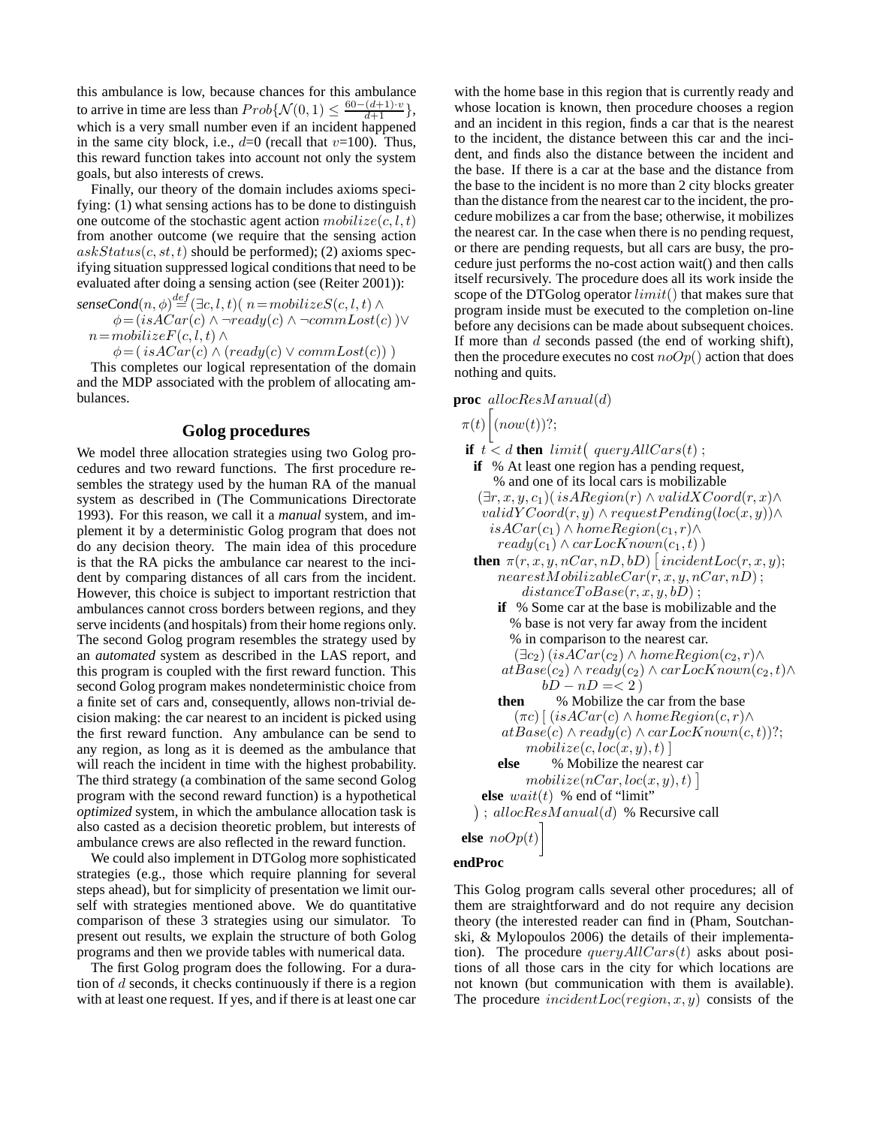this ambulance is low, because chances for this ambulance to arrive in time are less than  $Prob\{\mathcal{N}(0, 1) \leq \frac{60 - (d+1) \cdot v}{d+1}\},$ which is a very small number even if an incident happened in the same city block, i.e.,  $d=0$  (recall that  $v=100$ ). Thus, this reward function takes into account not only the system goals, but also interests of crews.

Finally, our theory of the domain includes axioms specifying: (1) what sensing actions has to be done to distinguish one outcome of the stochastic agent action  $mobileize(c, l, t)$ from another outcome (we require that the sensing action  $askStatus(c, st, t)$  should be performed); (2) axioms specifying situation suppressed logical conditions that need to be evaluated after doing a sensing action (see (Reiter 2001)):

 $\mathit{senseCond}(n, \phi) \mathop{=}\limits^{def} (\exists c, l, t)(\: n=mobileize{S}(c, l, t) \land$  $\phi = (isACar(c) \land \neg ready(c) \land \neg commLoss(c)) \lor$  $n=mobileizeF(c, l, t) \wedge$ 

 $\phi = (isACar(c) \land (ready(c) \lor commLoss(c)))$ 

This completes our logical representation of the domain and the MDP associated with the problem of allocating ambulances.

### **Golog procedures**

We model three allocation strategies using two Golog procedures and two reward functions. The first procedure resembles the strategy used by the human RA of the manual system as described in (The Communications Directorate 1993). For this reason, we call it a *manual* system, and implement it by a deterministic Golog program that does not do any decision theory. The main idea of this procedure is that the RA picks the ambulance car nearest to the incident by comparing distances of all cars from the incident. However, this choice is subject to important restriction that ambulances cannot cross borders between regions, and they serve incidents (and hospitals) from their home regions only. The second Golog program resembles the strategy used by an *automated* system as described in the LAS report, and this program is coupled with the first reward function. This second Golog program makes nondeterministic choice from a finite set of cars and, consequently, allows non-trivial decision making: the car nearest to an incident is picked using the first reward function. Any ambulance can be send to any region, as long as it is deemed as the ambulance that will reach the incident in time with the highest probability. The third strategy (a combination of the same second Golog program with the second reward function) is a hypothetical *optimized* system, in which the ambulance allocation task is also casted as a decision theoretic problem, but interests of ambulance crews are also reflected in the reward function.

We could also implement in DTGolog more sophisticated strategies (e.g., those which require planning for several steps ahead), but for simplicity of presentation we limit ourself with strategies mentioned above. We do quantitative comparison of these 3 strategies using our simulator. To present out results, we explain the structure of both Golog programs and then we provide tables with numerical data.

The first Golog program does the following. For a duration of  $d$  seconds, it checks continuously if there is a region with at least one request. If yes, and if there is at least one car

with the home base in this region that is currently ready and whose location is known, then procedure chooses a region and an incident in this region, finds a car that is the nearest to the incident, the distance between this car and the incident, and finds also the distance between the incident and the base. If there is a car at the base and the distance from the base to the incident is no more than 2 city blocks greater than the distance from the nearest car to the incident, the procedure mobilizes a car from the base; otherwise, it mobilizes the nearest car. In the case when there is no pending request, or there are pending requests, but all cars are busy, the procedure just performs the no-cost action wait() and then calls itself recursively. The procedure does all its work inside the scope of the DTGolog operator  $limit()$  that makes sure that program inside must be executed to the completion on-line before any decisions can be made about subsequent choices. If more than d seconds passed (the end of working shift), then the procedure executes no cost  $noOp()$  action that does nothing and quits.

**proc** allocResM anual(d)

```
\pi(t) \Big[ (now(t))?;
```
**if**  $t < d$  **then** limit( queryAllCars(t); **if** % At least one region has a pending request, % and one of its local cars is mobilizable  $(\exists r, x, y, c_1)$ (isARegion(r) ∧ validXCoord(r, x)∧  $validYCoord(r, y) \wedge requestPending(loc(x, y)) \wedge$  $isACar(c_1) \wedge homeRegion(c_1,r) \wedge$  $ready(c_1) \wedge carLocKnown(c_1, t))$ **then**  $\pi(r, x, y, nCar, nD, bD)$  [*incidentLoc(r,x,y)*;  $nearestMobilizableCar(r, x, y, nCar, nD);$  $distanceToBase(r, x, y, bD);$ **if** % Some car at the base is mobilizable and the % base is not very far away from the incident % in comparison to the nearest car.  $(\exists c_2)$  (is  $ACar(c_2) \wedge homeRegion(c_2, r) \wedge$  $atBase(c_2) \wedge ready(c_2) \wedge carLocKnown(c_2, t) \wedge$  $bD - nD = < 2$ **then** % Mobilize the car from the base  $(\pi c)$  [  $(isACar(c) \wedge homeRegion(c, r) \wedge$  $atBase(c) \wedge ready(c) \wedge carLocKnown(c, t))$ ?;  $mobileize(c, loc(x, y), t)$ **else** % Mobilize the nearest car  $mobileize(nCar, loc(x, y), t)$ **else**  $wait(t)$  % end of "limit"  $j$ ; alloc $ResManual(d)$  % Recursive call **else** noOp(t) 1

**endProc**

This Golog program calls several other procedures; all of them are straightforward and do not require any decision theory (the interested reader can find in (Pham, Soutchanski, & Mylopoulos 2006) the details of their implementation). The procedure  $queryAllCars(t)$  asks about positions of all those cars in the city for which locations are not known (but communication with them is available). The procedure  $incidentLoc(region, x, y)$  consists of the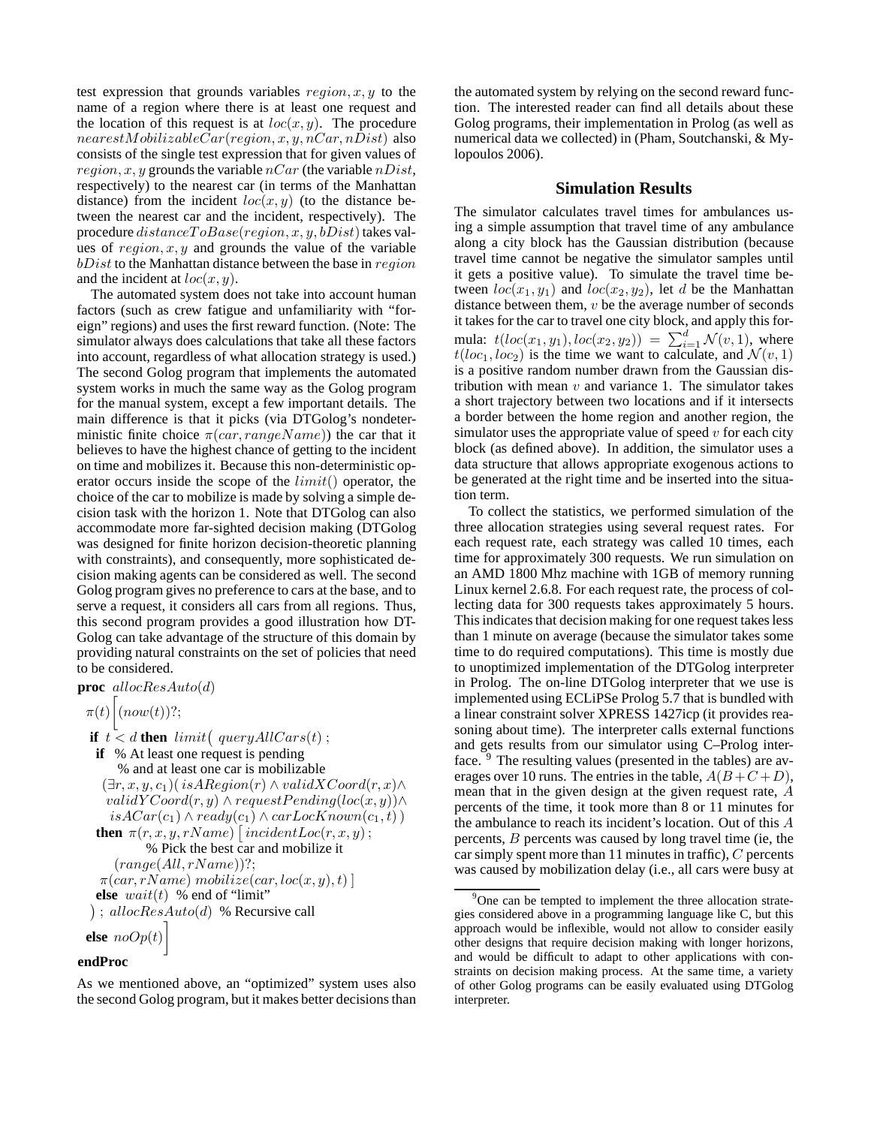test expression that grounds variables  $region, x, y$  to the name of a region where there is at least one request and the location of this request is at  $loc(x, y)$ . The procedure  $nearestMobileCar(region, x, y, nCar, nDist)$  also consists of the single test expression that for given values of  $region, x, y$  grounds the variable  $nCar$  (the variable  $nDist$ , respectively) to the nearest car (in terms of the Manhattan distance) from the incident  $loc(x, y)$  (to the distance between the nearest car and the incident, respectively). The procedure  $distanceToBase(reqion, x, y, bDist)$  takes values of  $region, x, y$  and grounds the value of the variable  $bDist$  to the Manhattan distance between the base in  $region$ and the incident at  $loc(x, y)$ .

The automated system does not take into account human factors (such as crew fatigue and unfamiliarity with "foreign" regions) and uses the first reward function. (Note: The simulator always does calculations that take all these factors into account, regardless of what allocation strategy is used.) The second Golog program that implements the automated system works in much the same way as the Golog program for the manual system, except a few important details. The main difference is that it picks (via DTGolog's nondeterministic finite choice  $\pi(car, rangeName)$ ) the car that it believes to have the highest chance of getting to the incident on time and mobilizes it. Because this non-deterministic operator occurs inside the scope of the  $limit()$  operator, the choice of the car to mobilize is made by solving a simple decision task with the horizon 1. Note that DTGolog can also accommodate more far-sighted decision making (DTGolog was designed for finite horizon decision-theoretic planning with constraints), and consequently, more sophisticated decision making agents can be considered as well. The second Golog program gives no preference to cars at the base, and to serve a request, it considers all cars from all regions. Thus, this second program provides a good illustration how DT-Golog can take advantage of the structure of this domain by providing natural constraints on the set of policies that need to be considered.

**proc** allocResAuto(d)

$$
\pi(t)\Big[(now(t))?
$$

```
if t < d then limit( queryAllCars(t);
 if % At least one request is pending
     % and at least one car is mobilizable
  (\exists r, x, y, c_1)(isARegion(r) \land validXCoord(r, x)\landvalidYCoord(r, y) \wedge requestPending(loc(x, y)) \wedgeisACar(c_1) \wedge ready(c_1) \wedge carLocKnown(c_1,t))then \pi(r, x, y, rName) [incidentLoc(r, x, y);
          % Pick the best car and mobilize it
    (range(All, rName))?;
 \pi(car, rName) mobilize(car, loc(x, y), t)]
 else wait(t) % end of "limit"
); allocResAuto(d) % Recursive call
else noOp(t)
```
# **endProc**

As we mentioned above, an "optimized" system uses also the second Golog program, but it makes better decisions than

the automated system by relying on the second reward function. The interested reader can find all details about these Golog programs, their implementation in Prolog (as well as numerical data we collected) in (Pham, Soutchanski, & Mylopoulos 2006).

# **Simulation Results**

The simulator calculates travel times for ambulances using a simple assumption that travel time of any ambulance along a city block has the Gaussian distribution (because travel time cannot be negative the simulator samples until it gets a positive value). To simulate the travel time between  $loc(x_1, y_1)$  and  $loc(x_2, y_2)$ , let d be the Manhattan distance between them,  $v$  be the average number of seconds it takes for the car to travel one city block, and apply this formula:  $t(loc(x_1, y_1), loc(x_2, y_2)) = \sum_{i=1}^{d} \mathcal{N}(v, 1)$ , where  $t(loc_1,loc_2)$  is the time we want to calculate, and  $\mathcal{N}(v,1)$ is a positive random number drawn from the Gaussian distribution with mean  $v$  and variance 1. The simulator takes a short trajectory between two locations and if it intersects a border between the home region and another region, the simulator uses the appropriate value of speed  $v$  for each city block (as defined above). In addition, the simulator uses a data structure that allows appropriate exogenous actions to be generated at the right time and be inserted into the situation term.

To collect the statistics, we performed simulation of the three allocation strategies using several request rates. For each request rate, each strategy was called 10 times, each time for approximately 300 requests. We run simulation on an AMD 1800 Mhz machine with 1GB of memory running Linux kernel 2.6.8. For each request rate, the process of collecting data for 300 requests takes approximately 5 hours. This indicates that decision making for one request takes less than 1 minute on average (because the simulator takes some time to do required computations). This time is mostly due to unoptimized implementation of the DTGolog interpreter in Prolog. The on-line DTGolog interpreter that we use is implemented using ECLiPSe Prolog 5.7 that is bundled with a linear constraint solver XPRESS 1427icp (it provides reasoning about time). The interpreter calls external functions and gets results from our simulator using C–Prolog interface. <sup>9</sup> The resulting values (presented in the tables) are averages over 10 runs. The entries in the table,  $A(B+C+D)$ , mean that in the given design at the given request rate, A percents of the time, it took more than 8 or 11 minutes for the ambulance to reach its incident's location. Out of this A percents, B percents was caused by long travel time (ie, the car simply spent more than 11 minutes in traffic), C percents was caused by mobilization delay (i.e., all cars were busy at

<sup>&</sup>lt;sup>9</sup>One can be tempted to implement the three allocation strategies considered above in a programming language like C, but this approach would be inflexible, would not allow to consider easily other designs that require decision making with longer horizons, and would be difficult to adapt to other applications with constraints on decision making process. At the same time, a variety of other Golog programs can be easily evaluated using DTGolog interpreter.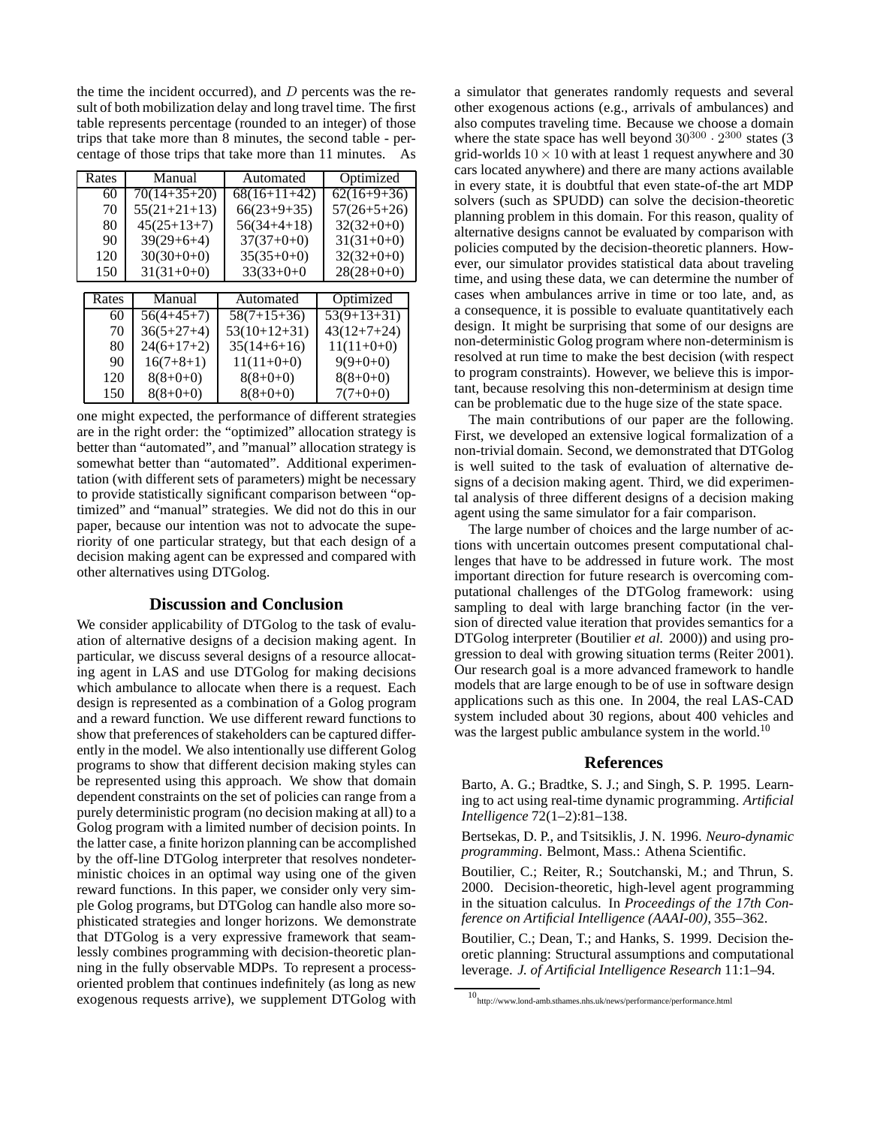the time the incident occurred), and  $D$  percents was the result of both mobilization delay and long travel time. The first table represents percentage (rounded to an integer) of those trips that take more than 8 minutes, the second table - percentage of those trips that take more than 11 minutes. As

|  | Rates | Manual         | Automated      | Optimized     |
|--|-------|----------------|----------------|---------------|
|  | 60    | $70(14+35+20)$ | $68(16+11+42)$ | $62(16+9+36)$ |
|  | 70    | $55(21+21+13)$ | $66(23+9+35)$  | $57(26+5+26)$ |
|  | 80    | $45(25+13+7)$  | $56(34+4+18)$  | $32(32+0+0)$  |
|  | 90    | $39(29+6+4)$   | $37(37+0+0)$   | $31(31+0+0)$  |
|  | 120   | $30(30+0+0)$   | $35(35+0+0)$   | $32(32+0+0)$  |
|  | 150   | $31(31+0+0)$   | $33(33+0+0)$   | $28(28+0+0)$  |
|  |       |                |                |               |
|  | Rates | Manual         | Automated      | Optimized     |
|  | 60    | $56(4+45+7)$   | $58(7+15+36)$  | $53(9+13+31)$ |
|  | 70    | $36(5+27+4)$   | $53(10+12+31)$ | $43(12+7+24)$ |
|  | 80    | $24(6+17+2)$   | $35(14+6+16)$  | $11(11+0+0)$  |
|  | 90    | $16(7+8+1)$    | $11(11+0+0)$   | $9(9+0+0)$    |
|  | 120   | $8(8+0+0)$     | $8(8+0+0)$     | $8(8+0+0)$    |
|  | 150   | $8(8+0+0)$     | $8(8+0+0)$     | $7(7+0+0)$    |

one might expected, the performance of different strategies are in the right order: the "optimized" allocation strategy is better than "automated", and "manual" allocation strategy is somewhat better than "automated". Additional experimentation (with different sets of parameters) might be necessary to provide statistically significant comparison between "optimized" and "manual" strategies. We did not do this in our paper, because our intention was not to advocate the superiority of one particular strategy, but that each design of a decision making agent can be expressed and compared with other alternatives using DTGolog.

## **Discussion and Conclusion**

We consider applicability of DTGolog to the task of evaluation of alternative designs of a decision making agent. In particular, we discuss several designs of a resource allocating agent in LAS and use DTGolog for making decisions which ambulance to allocate when there is a request. Each design is represented as a combination of a Golog program and a reward function. We use different reward functions to show that preferences of stakeholders can be captured differently in the model. We also intentionally use different Golog programs to show that different decision making styles can be represented using this approach. We show that domain dependent constraints on the set of policies can range from a purely deterministic program (no decision making at all) to a Golog program with a limited number of decision points. In the latter case, a finite horizon planning can be accomplished by the off-line DTGolog interpreter that resolves nondeterministic choices in an optimal way using one of the given reward functions. In this paper, we consider only very simple Golog programs, but DTGolog can handle also more sophisticated strategies and longer horizons. We demonstrate that DTGolog is a very expressive framework that seamlessly combines programming with decision-theoretic planning in the fully observable MDPs. To represent a processoriented problem that continues indefinitely (as long as new exogenous requests arrive), we supplement DTGolog with a simulator that generates randomly requests and several other exogenous actions (e.g., arrivals of ambulances) and also computes traveling time. Because we choose a domain where the state space has well beyond  $30^{300} \cdot 2^{300}$  states (3) grid-worlds  $10 \times 10$  with at least 1 request anywhere and 30 cars located anywhere) and there are many actions available in every state, it is doubtful that even state-of-the art MDP solvers (such as SPUDD) can solve the decision-theoretic planning problem in this domain. For this reason, quality of alternative designs cannot be evaluated by comparison with policies computed by the decision-theoretic planners. However, our simulator provides statistical data about traveling time, and using these data, we can determine the number of cases when ambulances arrive in time or too late, and, as a consequence, it is possible to evaluate quantitatively each design. It might be surprising that some of our designs are non-deterministic Golog program where non-determinism is resolved at run time to make the best decision (with respect to program constraints). However, we believe this is important, because resolving this non-determinism at design time can be problematic due to the huge size of the state space.

The main contributions of our paper are the following. First, we developed an extensive logical formalization of a non-trivial domain. Second, we demonstrated that DTGolog is well suited to the task of evaluation of alternative designs of a decision making agent. Third, we did experimental analysis of three different designs of a decision making agent using the same simulator for a fair comparison.

The large number of choices and the large number of actions with uncertain outcomes present computational challenges that have to be addressed in future work. The most important direction for future research is overcoming computational challenges of the DTGolog framework: using sampling to deal with large branching factor (in the version of directed value iteration that provides semantics for a DTGolog interpreter (Boutilier *et al.* 2000)) and using progression to deal with growing situation terms (Reiter 2001). Our research goal is a more advanced framework to handle models that are large enough to be of use in software design applications such as this one. In 2004, the real LAS-CAD system included about 30 regions, about 400 vehicles and was the largest public ambulance system in the world.<sup>10</sup>

## **References**

Barto, A. G.; Bradtke, S. J.; and Singh, S. P. 1995. Learning to act using real-time dynamic programming. *Artificial Intelligence* 72(1–2):81–138.

Bertsekas, D. P., and Tsitsiklis, J. N. 1996. *Neuro-dynamic programming*. Belmont, Mass.: Athena Scientific.

Boutilier, C.; Reiter, R.; Soutchanski, M.; and Thrun, S. 2000. Decision-theoretic, high-level agent programming in the situation calculus. In *Proceedings of the 17th Conference on Artificial Intelligence (AAAI-00)*, 355–362.

Boutilier, C.; Dean, T.; and Hanks, S. 1999. Decision theoretic planning: Structural assumptions and computational leverage. *J. of Artificial Intelligence Research* 11:1–94.

 $10_{\rm http://www.lond-amb.sthames.nhs.uk/news/performance/performance.html}$